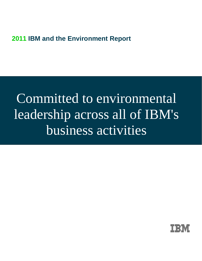## **2011 IBM and the Environment Report**

# Committed to environmental leadership across all of IBM's business activities

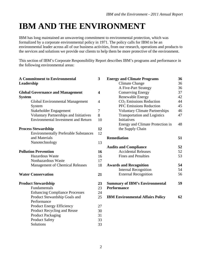## **IBM AND THE ENVIRONMENT**

IBM has long maintained an unwavering commitment to environmental protection, which was formalized by a corporate environmental policy in 1971. The policy calls for IBM to be an environmental leader across all of our business activities, from our research, operations and products to the services and solutions we provide our clients to help them be more protective of the environment.

This section of IBM's Corporate Responsibility Report describes IBM's programs and performance in the following environmental areas:

| <b>A Commitment to Environmental</b>          | 3                       | <b>Energy and Climate Programs</b>      | 36 |
|-----------------------------------------------|-------------------------|-----------------------------------------|----|
| Leadership                                    |                         | <b>Climate Change</b>                   | 36 |
|                                               |                         | A Five-Part Strategy                    | 36 |
| <b>Global Governance and Management</b>       | $\overline{\mathbf{4}}$ | <b>Conserving Energy</b>                | 37 |
| <b>System</b>                                 |                         | <b>Renewable Energy</b>                 | 42 |
| Global Environmental Management               | $\overline{4}$          | $CO2$ Emissions Reduction               | 44 |
| System                                        |                         | <b>PFC Emissions Reduction</b>          | 45 |
| Stakeholder Engagement                        | $\overline{7}$          | <b>Voluntary Climate Partnerships</b>   | 46 |
| <b>Voluntary Partnerships and Initiatives</b> | 8                       | <b>Transportation and Logistics</b>     | 47 |
| <b>Environmental Investment and Return</b>    | 10                      | Initiatives                             |    |
|                                               |                         | Energy and Climate Protection in        | 48 |
| <b>Process Stewardship</b>                    | 12                      | the Supply Chain                        |    |
| <b>Environmentally Preferable Substances</b>  | 12                      |                                         |    |
| and Materials                                 |                         | <b>Remediation</b>                      | 51 |
| Nanotechnology                                | 13                      |                                         |    |
|                                               |                         | <b>Audits and Compliance</b>            | 52 |
| <b>Pollution Prevention</b>                   | 16                      | <b>Accidental Releases</b>              | 52 |
| <b>Hazardous Waste</b>                        | 16                      | <b>Fines and Penalties</b>              | 53 |
| Nonhazardous Waste                            | 17                      |                                         |    |
| <b>Management of Chemical Releases</b>        | 18                      | <b>Awards and Recognition</b>           | 54 |
|                                               |                         | <b>Internal Recognition</b>             | 54 |
| <b>Water Conservation</b>                     | 21                      | <b>External Recognition</b>             | 56 |
| <b>Product Stewardship</b>                    | 23                      | <b>Summary of IBM's Environmental</b>   | 59 |
| Fundamentals                                  | 23                      | <b>Performance</b>                      |    |
| <b>Enhancing Compliance Processes</b>         | 24                      |                                         |    |
| Product Stewardship Goals and                 | 25                      | <b>IBM Environmental Affairs Policy</b> | 62 |
| Performance                                   |                         |                                         |    |
| <b>Product Energy Efficiency</b>              | 27                      |                                         |    |
| Product Recycling and Reuse                   | 30                      |                                         |    |
| <b>Product Packaging</b>                      | 31                      |                                         |    |
| <b>Product Safety</b>                         | 33                      |                                         |    |
| Solutions                                     | 33                      |                                         |    |
|                                               |                         |                                         |    |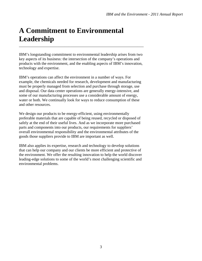## **A Commitment to Environmental Leadership**

IBM's longstanding commitment to environmental leadership arises from two key aspects of its business: the intersection of the company's operations and products with the environment, and the enabling aspects of IBM's innovation, technology and expertise.

\_\_\_\_\_\_\_\_\_\_\_\_\_\_\_\_\_\_\_\_\_\_\_\_\_\_\_\_\_\_\_\_\_\_\_\_\_\_\_\_\_\_\_\_\_\_\_\_\_\_\_\_\_\_\_\_\_\_\_\_\_\_\_

IBM's operations can affect the environment in a number of ways. For example, the chemicals needed for research, development and manufacturing must be properly managed from selection and purchase through storage, use and disposal. Our data center operations are generally energy-intensive, and some of our manufacturing processes use a considerable amount of energy, water or both. We continually look for ways to reduce consumption of these and other resources.

We design our products to be energy-efficient, using environmentally preferable materials that are capable of being reused, recycled or disposed of safely at the end of their useful lives. And as we incorporate more purchased parts and components into our products, our requirements for suppliers' overall environmental responsibility and the environmental attributes of the goods those suppliers provide to IBM are important as well.

IBM also applies its expertise, research and technology to develop solutions that can help our company and our clients be more efficient and protective of the environment. We offer the resulting innovation to help the world discover leading-edge solutions to some of the world's most challenging scientific and environmental problems.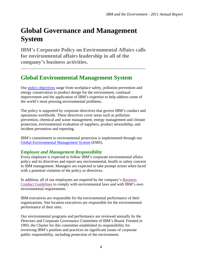## **Global Governance and Management System**

**IBM's Corporate Policy on Environmental Affairs calls for environmental affairs leadership in all of the company's business activities.** 

\_\_\_\_\_\_\_\_\_\_\_\_\_\_\_\_\_\_\_\_\_\_\_\_\_\_\_\_\_\_\_\_\_\_\_\_\_\_\_\_\_\_\_\_\_\_\_\_\_\_\_\_\_\_\_\_\_\_\_\_\_\_\_

### **Global Environmental Management System**

Our [policy objectives](http://www.ibm.com/ibm/environment/policy/) range from workplace safety, pollution prevention and energy conservation to product design for the environment, continual improvement and the application of IBM's expertise to help address some of the world's most pressing environmental problems.

The policy is supported by corporate directives that govern IBM's conduct and operations worldwide. These directives cover areas such as pollution prevention, chemical and waste management, energy management and climate protection, environmental evaluation of suppliers, product stewardship, and incident prevention and reporting.

IBM's commitment to environmental protection is implemented through our [Global Environmental Management System](http://www.ibm.com/ibm/environment/ems/index.shtml) (EMS).

### *Employee and Management Responsibility*

Every employee is expected to follow IBM's corporate environmental affairs policy and its directives and report any environmental, health or safety concern to IBM management. Managers are expected to take prompt action when faced with a potential violation of the policy or directives.

In addition, all of our employees are required by the company's [Business](http://www.ibm.com/investor/governance/business-conduct-guidelines.wss)  [Conduct Guidelines](http://www.ibm.com/investor/governance/business-conduct-guidelines.wss) to comply with environmental laws and with IBM's own environmental requirements.

IBM executives are responsible for the environmental performance of their organizations. Site location executives are responsible for the environmental performance of their sites.

Our environmental programs and performance are reviewed annually by the Directors and Corporate Governance Committee of IBM's Board. Formed in 1993, the Charter for this committee established its responsibility for reviewing IBM's position and practices on significant issues of corporate public responsibility, including protection of the environment.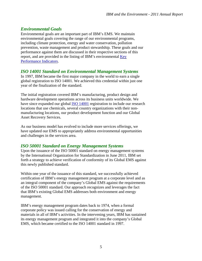### *Environmental Goals*

Environmental goals are an important part of IBM's EMS. We maintain environmental goals covering the range of our environmental programs, including climate protection, energy and water conservation, pollution prevention, waste management and product stewardship. These goals and our performance against them are discussed in their respective sections of this report, and are provided in the listing of IBM's environmental Key [Performance Indicators.](http://www.ibm.com/ibm/environment/annual/kpi_2011.pdf)

### *ISO 14001 Standard on Environmental Management Systems*

In 1997, IBM became the first major company in the world to earn a single global registration to ISO 14001. We achieved this credential within just one year of the finalization of the standard.

The initial registration covered IBM's manufacturing, product design and hardware development operations across its business units worldwide. We have since expanded our global [ISO 14001](http://www.ibm.com/ibm/environment/iso14001/) registration to include our research locations that use chemicals, several country organizations with their nonmanufacturing locations, our product development function and our Global Asset Recovery Services.

As our business model has evolved to include more services offerings, we have updated our EMS to appropriately address environmental opportunities and challenges in the services area.

### *ISO 50001 Standard on Energy Management Systems*

Upon the issuance of the ISO 50001 standard on energy management systems by the International Organization for Standardization in June 2011, IBM set forth a strategy to achieve verification of conformity of its Global EMS against this newly published standard.

Within one year of the issuance of this standard, we successfully achieved certification of IBM's energy management program at a corporate level and as an integral component of the company's Global EMS against the requirements of the ISO 50001 standard. Our approach recognizes and leverages the fact that IBM's existing Global EMS addresses both environment and energy management.

IBM's energy management program dates back to 1974, when a formal corporate policy was issued calling for the conservation of energy and materials in all of IBM's activities. In the intervening years, IBM has sustained its energy management program and integrated it into the company's Global EMS, which became certified to the ISO 14001 standard in 1997.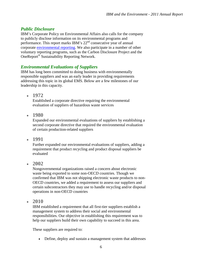### *Public Disclosure*

IBM's Corporate Policy on Environmental Affairs also calls for the company to publicly disclose information on its environmental programs and performance. This report marks IBM's  $22<sup>nd</sup>$  consecutive year of annual corporate [environmental reporting.](http://www.ibm.com/ibm/environment/annual/) We also participate in a number of other voluntary reporting programs, such as the Carbon Disclosure Project and the OneReport® Sustainability Reporting Network.

### *Environmental Evaluations of Suppliers*

IBM has long been committed to doing business with environmentally responsible suppliers and was an early leader in providing requirements addressing this topic in its global EMS. Below are a few milestones of our leadership in this capacity.

**1972** 

Established a corporate directive requiring the environmental evaluation of suppliers of hazardous waste services

**1980** 

Expanded our environmental evaluations of suppliers by establishing a second corporate directive that required the environmental evaluation of certain production-related suppliers

**1991** 

Further expanded our environmental evaluations of suppliers, adding a requirement that product recycling and product disposal suppliers be evaluated

**2002** 

Nongovernmental organizations raised a concern about electronic waste being exported to some non-OECD countries. Though we confirmed that IBM was not shipping electronic waste products to non-OECD countries, we added a requirement to assess our suppliers and certain subcontractors they may use to handle recycling and/or disposal operations in non-OECD countries

**2010** 

IBM established a requirement that all first-tier suppliers establish a management system to address their social and environmental responsibilities. Our objective in establishing this requirement was to help our suppliers build their own capability to succeed in this area.

These suppliers are required to:

• Define, deploy and sustain a management system that addresses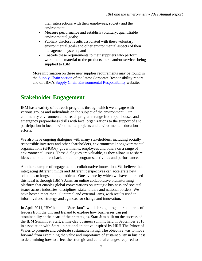their intersections with their employees, society and the environment;

- Measure performance and establish voluntary, quantifiable environmental goals;
- Publicly disclose results associated with these voluntary environmental goals and other environmental aspects of their management systems; and
- Cascade these requirements to their suppliers who perform work that is material to the products, parts and/or services being supplied to IBM.

More information on these new supplier requirements may be found in the [Supply Chain section](http://www.ibm.com/ibm/responsibility/2011/supply-chain/supplier-assessment-and-improvement-plans.html) of the latest Corporate Responsibility report and on IBM's [Supply Chain Environmental Responsibility](http://www-03.ibm.com/procurement/proweb.nsf/ContentDocsByTitle/United+States~Supply+chain+environmental+responsibility) website.

### **Stakeholder Engagement**

IBM has a variety of outreach programs through which we engage with various groups and individuals on the subject of the environment. Our community environmental outreach programs range from open houses and emergency preparedness drills with local organizations to the support of and participation in local environmental projects and environmental education efforts.

We also have ongoing dialogues with many stakeholders, including socially responsible investors and other shareholders, environmental nongovernmental organizations (eNGOs), governments, employees and others on a range of environmental issues. These dialogues are valuable, as they allow us to share ideas and obtain feedback about our programs, activities and performance.

Another example of engagement is collaborative innovation. We believe that integrating different minds and different perspectives can accelerate new solutions to longstanding problems. One avenue by which we have embraced this ideal is through IBM's Jams, an online collaborative brainstorming platform that enables global conversations on strategic business and societal issues across industries, disciplines, stakeholders and national borders. We have hosted more than 30 internal and external Jams, with results used to inform values, strategy and agendas for change and innovation.

In April 2011, IBM held the "Start Jam", which brought together hundreds of leaders from the UK and Ireland to explore how businesses can put sustainability at the heart of their strategies. Start Jam built on the success of the IBM Summit at Start, a nine-day business summit held in September 2010 in association with Start—a national initiative inspired by HRH The Prince of Wales to promote and celebrate sustainable living. The objective was to move forward from examining the value and importance of sustainability in business to determining how to affect the strategic and cultural changes required to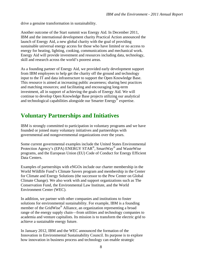drive a genuine transformation in sustainability.

Another outcome of the Start summit was Energy Aid. In December 2011, IBM and the international development charity Practical Action announced the launch of Energy Aid, a new global charity with the goal of providing sustainable universal energy access for those who have limited or no access to energy for heating, lighting, cooking, communications and mechanical work. Energy Aid will provide investment and resources including data, technology, skill and research across the world's poorest areas.

As a founding partner of Energy Aid, we provided early development support from IBM employees to help get the charity off the ground and technology input to the IT and data infrastructure to support the Open Knowledge Base. This resource is aimed at increasing public awareness; sharing best practices and matching resources; and facilitating and encouraging long-term investment, all in support of achieving the goals of Energy Aid. We will continue to develop Open Knowledge Base projects utilizing our analytical and technological capabilities alongside our Smarter Energy® expertise.

### **Voluntary Partnerships and Initiatives**

IBM is strongly committed to participation in voluntary programs and we have founded or joined many voluntary initiatives and partnerships with governmental and nongovernmental organizations over the years.

Some current governmental examples include the United States Environmental Protection Agency's (EPA) ENERGY STAR®, SmartWay® and WasteWise programs, and the European Union (EU) Code of Conduct for Energy Efficient Data Centers.

Examples of partnerships with eNGOs include our charter membership in the World Wildlife Fund's Climate Savers program and membership in the Center for Climate and Energy Solutions (the successor to the Pew Center on Global Climate Change). We also work with and support organizations such as The Conservation Fund, the Environmental Law Institute, and the World Environment Center (WEC).

In addition, we partner with other companies and institutions to foster solutions for environmental sustainability. For example, IBM is a founding member of the GridWise® Alliance, an organization representing a broad range of the energy supply chain—from utilities and technology companies to academia and venture capitalists. Its mission is to transform the electric grid to achieve a sustainable energy future.

In January 2012, IBM and the WEC announced the formation of the Innovation in Environmental Sustainability Council. Its purpose is to explore how innovation in business process and technology can enable strategic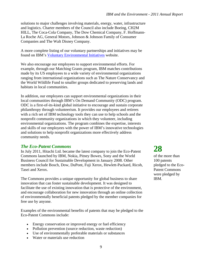solutions to major challenges involving materials, energy, water, infrastructure and logistics. Charter members of the Council also include Boeing, CH2M HILL, The Coca-Cola Company, The Dow Chemical Company, F. Hoffmann-La Roche AG, General Motors, Johnson & Johnson Family of Consumer Companies and The Walt Disney Company.

A more complete listing of our voluntary partnerships and initiatives may be found on IBM's [Voluntary Environmental Initiatives](http://www.ibm.com/ibm/environment/initiatives/) website.

We also encourage our employees to support environmental efforts. For example, through our Matching Grants program, IBM matches contributions made by its US employees to a wide variety of environmental organizations ranging from international organizations such as The Nature Conservancy and the World Wildlife Fund to smaller groups dedicated to preserving lands and habitats in local communities.

In addition, our employees can support environmental organizations in their local communities through IBM's On Demand Community (ODC) program. ODC is a first-of-its-kind global initiative to encourage and sustain corporate philanthropy through volunteerism. It provides our employees and retirees with a rich set of IBM technology tools they can use to help schools and the nonprofit community organizations in which they volunteer, including environmental organizations. The program combines the expertise, interests and skills of our employees with the power of IBM's innovative technologies and solutions to help nonprofit organizations more effectively address community needs.

#### *The Eco-Patent Commons*

In July 2011, Hitachi Ltd. became the latest company to join the Eco-Patent Commons launched by IBM, Nokia, Pitney Bowes, Sony and the World Business Council for Sustainable Development in January 2008. Other members include Bosch, Dow, DuPont, Fuji Xerox, Hewlett-Packard, Ricoh, Tasei and Xerox.

The Commons provides a unique opportunity for global business to share innovation that can foster sustainable development. It was designed to facilitate the use of existing innovation that is protective of the environment, and encourage collaboration for new innovation through an online collection of environmentally beneficial patents pledged by the member companies for free use by anyone.

Examples of the environmental benefits of patents that may be pledged to the Eco-Patent Commons include:

- Energy conservation or improved energy or fuel efficiency
- Pollution prevention (source reduction, waste reduction)
- Use of environmentally preferable materials or substances
- Water or materials use reduction

## **28**

of the more than 100 patents pledged to the Eco-Patent Commons were pledged by IBM.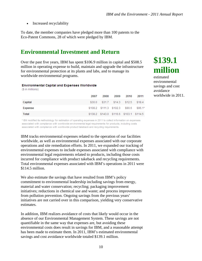• Increased recyclability

To date, the member companies have pledged more than 100 patents to the Eco-Patent Commons, 28 of which were pledged by IBM.

### **Environmental Investment and Return**

Over the past five years, IBM has spent \$106.9 million in capital and \$508.5 million in operating expense to build, maintain and upgrade the infrastructure for environmental protection at its plants and labs, and to manage its worldwide environmental programs.

#### **Environmental Capital and Expenses Worldwide**

(\$ in millions)

|         | 2007 |  | 2008 2009 2010 2011                     |  |
|---------|------|--|-----------------------------------------|--|
| Capital |      |  | \$30.0 \$31.7 \$14.3 \$12.5 \$18.4      |  |
| Expense |      |  | \$108.2 \$111.3 \$102.3 \$90.6 \$96.1*  |  |
| Total   |      |  | \$138.2 \$143.0 \$116.6 \$103.1 \$114.5 |  |

\* IBM modified its methodology for estimation of operating expenses in 2011 to collect information on expenses associated with compliance with worldwide environmental legal requirements for products, including costs associated with compliance with worldwide product takeback and recycling requirements.

IBM tracks environmental expenses related to the operation of our facilities worldwide, as well as environmental expenses associated with our corporate operations and site remediation efforts. In 2011, we expanded our tracking of environmental expenses to include expenses associated with compliance with environmental legal requirements related to products, including those costs incurred for compliance with product takeback and recycling requirements. Total environmental expenses associated with IBM's operations in 2011 were \$114.5 million.

We also estimate the savings that have resulted from IBM's policy commitment to environmental leadership including savings from energy, material and water conservation; recycling; packaging improvement initiatives; reductions in chemical use and waste; and process improvements from pollution prevention. Ongoing savings from the previous years' initiatives are not carried over in this comparison, yielding very conservative estimates.

In addition, IBM realizes avoidance of costs that likely would occur in the absence of our Environmental Management System. These savings are not quantifiable in the same way that expenses are, but avoiding these environmental costs does result in savings for IBM, and a reasonable attempt has been made to estimate them. In 2011, IBM's estimated environmental savings and cost avoidance worldwide totaled \$139.1 million.

## **\$139.1 million**

estimated environmental savings and cost avoidance worldwide in 2011.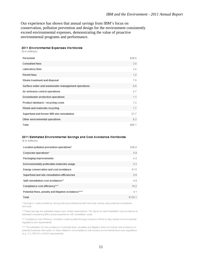Our experience has shown that annual savings from IBM's focus on conservation, pollution prevention and design for the environment consistently exceed environmental expenses, demonstrating the value of proactive environmental programs and performance.

#### 2011 Environmental Expenses Worldwide

(\$ in millions)

| Personnel                                          | \$38.0 |
|----------------------------------------------------|--------|
| <b>Consultant fees</b>                             | 3.0    |
| <b>Laboratory fees</b>                             | 3.2    |
| <b>Permit fees</b>                                 | 1.2    |
| Waste treatment and disposal                       | 7.0    |
| Surface water and wastewater management operations | 8.9    |
| Air emission control operations                    | 0.7    |
| Groundwater protection operations                  | 1.1    |
| Product takeback / recycling costs                 | 1.3    |
| Waste and materials recycling                      | 1.7    |
| Superfund and former IBM site remediation          | 21.7   |
| Other environmental operations                     | 8.3    |
| Total                                              | \$96.1 |

#### 2011 Estimated Environmental Savings and Cost Avoidance Worldwide

| (\$ in millions)                                      |         |
|-------------------------------------------------------|---------|
| Location pollution prevention operations*             | \$38.0  |
| Corporate operations*                                 | 5.9     |
| Packaging improvements                                | 4.3     |
| Environmentally preferable materials usage            | 0.3     |
| Energy conservation and cost avoidance                | 61.5    |
| Superfund and site remediation efficiencies           | 0.9     |
| Spill remediation cost avoidance**                    | 4.9     |
| Compliance cost efficiency***                         | 19.2    |
| Potential fines, penalty and litigation avoidance**** | 4.1     |
| Total                                                 | \$139.1 |

\* Savings or costs avoided by having internal professional staff and tools versus using external consultants and tools.

\*\* These savings are estimates based upon certain assumptions. The figure for spill remediation cost avoidance is estimated considering IBM's actual experience with remediation costs.

\*\*\* Compliance cost efficiency considers costs avoided through proactive efforts to stay ahead of environmental regulations and requirements.

\*\*\*\* The estimation for the avoidance of potential fines, penalties and litigation does not include cost avoidance of potential business interruption or fines related to noncompliance with product environmental laws and regulations (e.g., E.U. REACH or RoHS requirements).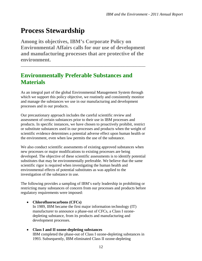## **Process Stewardship**

**Among its objectives, IBM's Corporate Policy on Environmental Affairs calls for our use of development and manufacturing processes that are protective of the environment.** 

\_\_\_\_\_\_\_\_\_\_\_\_\_\_\_\_\_\_\_\_\_\_\_\_\_\_\_\_\_\_\_\_\_\_\_\_\_\_\_\_\_\_\_\_\_\_\_\_\_\_\_\_\_\_\_\_\_\_\_\_\_\_\_

### **Environmentally Preferable Substances and Materials**

As an integral part of the global Environmental Management System through which we support this policy objective, we routinely and consistently monitor and manage the substances we use in our manufacturing and development processes and in our products.

Our precautionary approach includes the careful scientific review and assessment of certain substances prior to their use in IBM processes and products. In specific instances, we have chosen to proactively prohibit, restrict or substitute substances used in our processes and products when the weight of scientific evidence determines a potential adverse effect upon human health or the environment, even when law permits the use of the substance.

We also conduct scientific assessments of existing approved substances when new processes or major modifications to existing processes are being developed. The objective of these scientific assessments is to identify potential substitutes that may be environmentally preferable. We believe that the same scientific rigor is required when investigating the human health and environmental effects of potential substitutes as was applied to the investigation of the substance in use.

The following provides a sampling of IBM's early leadership in prohibiting or restricting many substances of concern from our processes and products before regulatory requirements were imposed:

- **Chlorofluorocarbons (CFCs)**  In 1989, IBM became the first major information technology (IT) manufacturer to announce a phase-out of CFCs, a Class I ozonedepleting substance, from its products and manufacturing and development processes.
- **Class I and II ozone-depleting substances**  IBM completed the phase-out of Class I ozone-depleting substances in 1993. Subsequently, IBM eliminated Class II ozone-depleting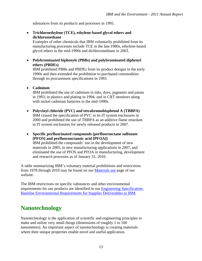substances from its products and processes in 1995.

 **Trichloroethylene (TCE), ethylene-based glycol ethers and dichloromethane** 

Examples of other chemicals that IBM voluntarily prohibited from its manufacturing processes include TCE in the late 1980s, ethylene-based glycol ethers in the mid-1990s and dichloromethane in 2003.

 **Polybrominated biphenyls (PBBs) and polybrominated diphenyl ethers (PBDEs)** 

IBM prohibited PBBs and PBDEs from its product designs in the early 1990s and then extended the prohibition to purchased commodities through its procurement specifications in 1993.

**Cadmium** 

IBM prohibited the use of cadmium in inks, dyes, pigments and paints in 1993; in plastics and plating in 1994; and in CRT monitors along with nickel cadmium batteries in the mid-1990s.

- **Polyvinyl chloride (PVC) and tetrabromobisphenol A (TBBPA)**  IBM ceased the specification of PVC in its IT system enclosures in 2000 and prohibited the use of TBBPA as an additive flame retardant in IT system enclosures for newly released products in 2007.
- **Specific perfluorinated compounds (perfluorooctane sulfonate [PFOS] and perfluorooctanoic acid [PFOA])**  IBM prohibited the compounds' use in the development of new materials in 2005, in new manufacturing applications in 2007, and eliminated the use of PFOS and PFOA in manufacturing, development and research processes as of January 31, 2010.

A table summarizing IBM's voluntary material prohibitions and restrictions from 1978 through 2010 may be found on our [Materials use](http://www.ibm.com/ibm/environment/products/materials.shtml) page of our website.

The IBM restrictions on specific substances and other environmental requirements for our products are identified in our [Engineering Specification:](http://www.ibm.com/ibm/environment/products/especs.shtml)  [Baseline Environmental Requirements for Supplier Deliverables to IBM](http://www.ibm.com/ibm/environment/products/especs.shtml).

### **Nanotechnology**

Nanotechnology is the application of scientific and engineering principles to make and utilize very small things (dimensions of roughly 1 to 100 nanometers). An important aspect of nanotechnology is creating materials where their unique properties enable novel and useful application.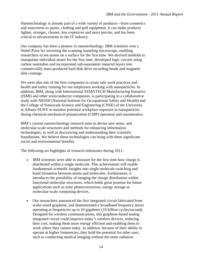Nanotechnology is already part of a wide variety of products—from cosmetics and sunscreens to paints, clothing and golf equipment. It can make products lighter, stronger, cleaner, less expensive and more precise, and has been critical to advancements in the IT industry.

Our company has been a pioneer in nanotechnology. IBM scientists won a Nobel Prize for inventing the scanning tunneling microscope, enabling researchers to see atoms on a surface for the first time. We devised methods to manipulate individual atoms for the first time, developed logic circuits using carbon nanotubes and incorporated sub-nanometer material layers into commercially mass-produced hard disk drive recording heads and magnetic disk coatings.

We were also one of the first companies to create safe work practices and health and safety training for our employees working with nanoparticles. In addition, IBM, along with International SEMATECH Manufacturing Initiative (ISMI) and other semiconductor companies, is participating in a collaborative study with NIOSH (National Institute for Occupational Safety and Health) and the College of Nanoscale Science and Engineering (CNSE) of the University at Albany-SUNY to monitor potential workplace exposure to nanoparticles during chemical mechanical planarization (CMP) operation and maintenance.

IBM's current nanotechnology research aims to devise new atom- and molecular-scale structures and methods for enhancing information technologies, as well as discovering and understanding their scientific foundations. We believe these technologies can bring with them significant social and environmental benefits.

The following are highlights of research milestones during 2011:

- IBM scientists were able to measure for the first time how charge is distributed within a single molecule. This achievement will enable fundamental scientific insights into single-molecule switching and bond formation between atoms and molecules. Furthermore, it introduces the possibility of imaging the charge distribution within functional molecular structures, which holds great promise for future applications such as solar photoconversion, energy storage or molecular-scale computing devices.
- Our researchers announced the first integrated circuit fabricated from wafer-sized graphene, and demonstrated a broadband frequency mixer operating at frequencies up to 10 gigahertz (10 billion cycles/second). Designed for wireless communications, this graphene-based analog integrated circuit could improve today's wireless devices, reducing their cost, making them more energy efficient and enabling them to work where they cannot today. In addition, because of their ability to operate at higher frequencies, they hold the potential for other uses, such as conducting medical imaging without the same radiation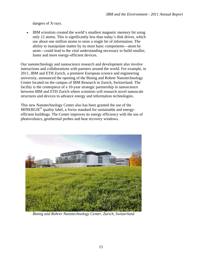dangers of X-rays.

 IBM scientists created the world's smallest magnetic memory bit using only 12 atoms. This is significantly less than today's disk drives, which use about one million atoms to store a single bit of information. The ability to manipulate matter by its most basic components—atom by atom—could lead to the vital understanding necessary to build smaller, faster and more energy-efficient devices.

Our nanotechnology and nanoscience research and development also involve interactions and collaborations with partners around the world. For example, in 2011, IBM and ETH Zurich, a premiere European science and engineering university, announced the opening of the Binnig and Rohrer Nanotechnology Center located on the campus of IBM Research in Zurich, Switzerland. The facility is the centerpiece of a 10-year strategic partnership in nanoscience between IBM and ETH Zurich where scientists will research novel nanoscale structures and devices to advance energy and information technologies.

This new Nanotechnology Center also has been granted the use of the MINERGIE<sup>®</sup> quality label, a Swiss standard for sustainable and energyefficient buildings. The Center improves its energy efficiency with the use of photovoltaics, geothermal probes and heat recovery windows.



*Binnig and Rohrer Nanotechnology Center, Zurich, Switzerland*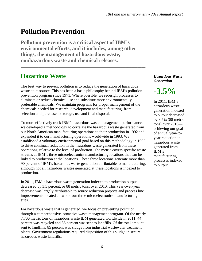## **Pollution Prevention**

**Pollution prevention is a critical aspect of IBM's environmental efforts, and it includes, among other things, the management of hazardous waste, nonhazardous waste and chemical releases.** 

\_\_\_\_\_\_\_\_\_\_\_\_\_\_\_\_\_\_\_\_\_\_\_\_\_\_\_\_\_\_\_\_\_\_\_\_\_\_\_\_\_\_\_\_\_\_\_\_\_\_\_\_\_\_\_\_\_\_\_\_\_\_\_

### **Hazardous Waste**

The best way to prevent pollution is to reduce the generation of hazardous waste at its source. This has been a basic philosophy behind IBM's pollution prevention program since 1971. Where possible, we redesign processes to eliminate or reduce chemical use and substitute more environmentally preferable chemicals. We maintain programs for proper management of the chemicals needed for research, development and manufacturing, from selection and purchase to storage, use and final disposal.

To more effectively track IBM's hazardous waste management performance, we developed a methodology to correlate the hazardous waste generated from our North American manufacturing operations to their production in 1992 and expanded it to our manufacturing operations worldwide in 1993. We established a voluntary environmental goal based on this methodology in 1995 to drive continual reduction in the hazardous waste generated from these operations, relative to the level of production. The metric covers specific waste streams at IBM's three microelectronics manufacturing locations that can be linked to production at the locations. These three locations generate more than 90 percent of IBM's hazardous waste generation attributable to manufacturing, although not all hazardous wastes generated at these locations is indexed to production.

In 2011, IBM's hazardous waste generation indexed to production output decreased by 3.5 percent, or 88 metric tons, over 2010. This year-over-year decrease was largely attributable to source reduction projects and process line improvements located at two of our three microelectronics manufacturing sites.

For hazardous waste that is generated, we focus on preventing pollution through a comprehensive, proactive waste management program. Of the nearly 7,700 metric tons of hazardous waste IBM generated worldwide in 2011, 44 percent was recycled and 36 percent was sent to landfills. Of the total amount sent to landfills, 85 percent was sludge from industrial wastewater treatment plants. Government regulations required disposition of this sludge in secure hazardous waste landfills.

*Hazardous Waste Generation* 



In 2011, IBM's hazardous waste generation indexed to output decreased by 3.5% (88 metric tons) over 2010 achieving our goal of annual year-toyear reduction in hazardous waste generated from IBM's manufacturing processes indexed to output.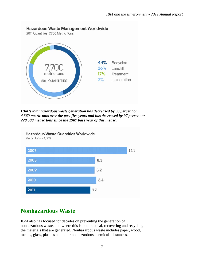

*IBM's total hazardous waste generation has decreased by 36 percent or 4,360 metric tons over the past five years and has decreased by 97 percent or 220,500 metric tons since the 1987 base year of this metric.* 



## **Nonhazardous Waste**

IBM also has focused for decades on preventing the generation of nonhazardous waste, and where this is not practical, recovering and recycling the materials that are generated. Nonhazardous waste includes paper, wood, metals, glass, plastics and other nonhazardous chemical substances.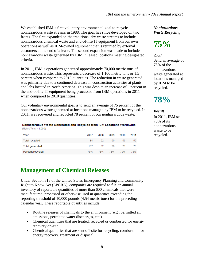We established IBM's first voluntary environmental goal to recycle nonhazardous waste streams in 1988. The goal has since developed on two fronts. The first expanded on the traditional dry waste streams to include nonhazardous chemical waste and end-of-life IT equipment from our own operations as well as IBM-owned equipment that is returned by external customers at the end of a lease. The second expansion was made to include nonhazardous waste generated by IBM in leased locations meeting designated criteria.

In 2011, IBM's operations generated approximately 70,000 metric tons of nonhazardous waste. This represents a decrease of 1,100 metric tons or 1.5 percent when compared to 2010 quantities. The reduction in waste generated was primarily due to a continued decrease in construction activities at plants and labs located in North America. This was despite an increase of 6 percent in the end-of-life IT equipment being processed from IBM operations in 2011 when compared to 2010 quantities.

Our voluntary environmental goal is to send an average of 75 percent of the nonhazardous waste generated at locations managed by IBM to be recycled. In 2011, we recovered and recycled 78 percent of our nonhazardous waste.

#### Nonhazardous Waste Generated and Recycled from IBM Locations Worldwide (Metric Tons × 1,000)

| Year                   | 2007 | 2008 | 2009 | 2010 | 2011 |
|------------------------|------|------|------|------|------|
| <b>Total recycled</b>  | 84   | 62   | 60   | 56   | 55   |
| <b>Total generated</b> | 107  | 82   | 79   |      | 70.  |
| Percent recycled       | 78%  | 76%  | 76%  | 79%  | 78%  |

### **Management of Chemical Releases**

Under Section 313 of the United States Emergency Planning and Community Right to Know Act (EPCRA), companies are required to file an annual inventory of reportable quantities of more than 600 chemicals that were manufactured, processed or otherwise used in quantities exceeding the reporting threshold of 10,000 pounds (4.54 metric tons) for the preceding calendar year. These reportable quantities include:

- Routine releases of chemicals to the environment (e.g., permitted air emissions, permitted water discharges, etc.)
- Chemical quantities that are treated, recycled or combusted for energy recovery on-site
- Chemical quantities that are sent off-site for recycling, combustion for energy recovery, treatment or disposal

*Nonhazardous Waste Recycling* 

## **75%**

#### *Goal*

Send an average of 75% of the nonhazardous waste generated at locations managed by IBM to be recycled.

**78%** 

#### *Result*

In 2011, IBM sent 78% of its nonhazardous waste to be recycled.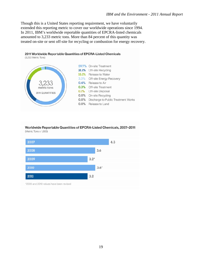Though this is a United States reporting requirement, we have voluntarily extended this reporting metric to cover our worldwide operations since 1994. In 2011, IBM's worldwide reportable quantities of EPCRA-listed chemicals amounted to 3,233 metric tons. More than 84 percent of this quantity was treated on-site or sent off-site for recycling or combustion for energy recovery.



#### Worldwide Reportable Quantities of EPCRA-Listed Chemicals, 2007-2011 (Metric Tons x 1,000)

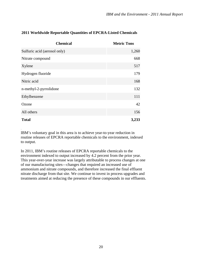| <b>Chemical</b>              | <b>Metric Tons</b> |
|------------------------------|--------------------|
| Sulfuric acid (aerosol only) | 1,260              |
| Nitrate compound             | 668                |
| Xylene                       | 517                |
| Hydrogen fluoride            | 179                |
| Nitric acid                  | 168                |
| n-methyl-2-pyrrolidone       | 132                |
| Ethylbenzene                 | 111                |
| Ozone                        | 42                 |
| All others                   | 156                |
| <b>Total</b>                 | 3,233              |

### **2011 Worldwide Reportable Quantities of EPCRA-Listed Chemicals**

IBM's voluntary goal in this area is to achieve year-to-year reduction in routine releases of EPCRA reportable chemicals to the environment, indexed to output.

.

In 2011, IBM's routine releases of EPCRA reportable chemicals to the environment indexed to output increased by 4.2 percent from the prior year. This year-over-year increase was largely attributable to process changes at one of our manufacturing sites—changes that required an increased use of ammonium and nitrate compounds, and therefore increased the final effluent nitrate discharge from that site. We continue to invest in process upgrades and treatments aimed at reducing the presence of these compounds in our effluents.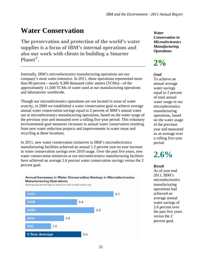## **Water Conservation**

**The preservation and protection of the world's water supplies is a focus of IBM's internal operations and also our work with clients in building a Smarter Planet®.** 

Internally, IBM's microelectronics manufacturing operations are our company's most water-intensive. In 2011, these operations represented more than 80 percent—nearly 9,300 thousand cubic meters (TCMs)—of the approximately 11,500 TCMs of water used at our manufacturing operations and laboratories worldwide.

\_\_\_\_\_\_\_\_\_\_\_\_\_\_\_\_\_\_\_\_\_\_\_\_\_\_\_\_\_\_\_\_\_\_\_\_\_\_\_\_\_\_\_\_\_\_\_\_\_\_\_\_\_\_\_\_\_\_\_\_\_\_\_

Though our microelectronics operations are not located in areas of water scarcity, in 2000 we established a water conservation goal to achieve average annual water conservation savings equal to 2 percent of IBM's annual water use at microelectronics manufacturing operations, based on the water usage of the previous year and measured over a rolling five-year period. This voluntary environmental goal measures increases in annual water conservation resulting from new water reduction projects and improvements in water reuse and recycling at these locations.

In 2011, new water conservation initiatives in IBM's microelectronics manufacturing facilities achieved an annual 1.2 percent year-to-year increase in water conservation savings over 2010 usage. Over the past five years, new water conservation initiatives at our microelectronics manufacturing facilities have achieved an average 2.6 percent water conservation savings versus the 2 percent goal.



Savings as percentage of previous year's total water use



*Water Conservation in Microelectronics Manufacturing Operations* 

## **2%**

#### *Goal*

To achieve an annual average water savings equal to 2 percent of total annual water usage in our microelectronics manufacturing operations, based on the water usage of the previous year and measured as an average over a rolling five-year period.

## **2.6%**

#### *Result*

As of year-end 2011, IBM's microelectronics manufacturing operations had achieved an average annual water savings of 2.6 percent over the past five years versus the 2 percent goal.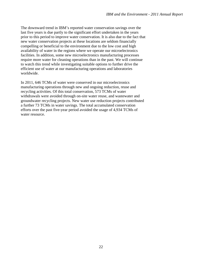The downward trend in IBM's reported water conservation savings over the last five years is due partly to the significant effort undertaken in the years prior to this period to improve water conservation. It is also due to the fact that new water conservation projects at these locations are seldom financially compelling or beneficial to the environment due to the low cost and high availability of water in the regions where we operate our microelectronics facilities. In addition, some new microelectronics manufacturing processes require more water for cleaning operations than in the past. We will continue to watch this trend while investigating suitable options to further drive the efficient use of water at our manufacturing operations and laboratories worldwide.

In 2011, 646 TCMs of water were conserved in our microelectronics manufacturing operations through new and ongoing reduction, reuse and recycling activities. Of this total conservation, 573 TCMs of water withdrawals were avoided through on-site water reuse, and wastewater and groundwater recycling projects. New water use reduction projects contributed a further 73 TCMs in water savings. The total accumulated conservation efforts over the past five-year period avoided the usage of 4,934 TCMs of water resource.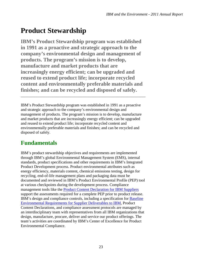## **Product Stewardship**

**IBM's Product Stewardship program was established in 1991 as a proactive and strategic approach to the company's environmental design and management of products. The program's mission is to develop, manufacture and market products that are increasingly energy efficient; can be upgraded and reused to extend product life; incorporate recycled content and environmentally preferable materials and finishes; and can be recycled and disposed of safely.** 

IBM's Product Stewardship program was established in 1991 as a proactive and strategic approach to the company's environmental design and management of products. The program's mission is to develop, manufacture and market products that are increasingly energy efficient; can be upgraded and reused to extend product life; incorporate recycled content and environmentally preferable materials and finishes; and can be recycled and disposed of safely.

\_\_\_\_\_\_\_\_\_\_\_\_\_\_\_\_\_\_\_\_\_\_\_\_\_\_\_\_\_\_\_\_\_\_\_\_\_\_\_\_\_\_\_\_\_\_\_\_\_\_\_\_\_\_\_\_\_\_\_\_\_\_\_

## **Fundamentals**

IBM's product stewardship objectives and requirements are implemented through IBM's global Environmental Management System (EMS), internal standards, product specifications and other requirements in IBM's Integrated Product Development process. Product environmental attributes such as energy efficiency, materials content, chemical emissions testing, design for recycling, end-of-life management plans and packaging data must be documented and reviewed in IBM's Product Environmental Profile (PEP) tool at various checkpoints during the development process. Compliance management tools like the [Product Content Declaration for IBM Suppliers](http://www.ibm.com/ibm/environment/products/ecpquest.shtml) support the assessments required for a complete PEP prior to product release. IBM's design and compliance controls, including a specification for [Baseline](http://www.ibm.com/ibm/environment/products/especs.shtml)  [Environmental Requirements for Supplier Deliverables to IBM,](http://www.ibm.com/ibm/environment/products/especs.shtml) Product Content Declarations, and compliance assessment protocols are managed by an interdisciplinary team with representatives from all IBM organizations that design, manufacture, procure, deliver and service our product offerings. The team's activities are coordinated by IBM's Center of Excellence for Product Environmental Compliance.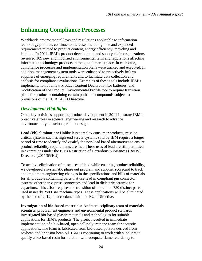### **Enhancing Compliance Processes**

Worldwide environmental laws and regulations applicable to information technology products continue to increase, including new and expanded requirements related to product content, energy efficiency, recycling and labeling. In 2011, IBM's product development and supply chain organizations reviewed 109 new and modified environmental laws and regulations affecting information technology products in the global marketplace. In each case, compliance processes and implementation plans were tracked and executed. In addition, management system tools were enhanced to proactively inform suppliers of emerging requirements and to facilitate data collection and analysis for compliance evaluations. Examples of these tools include IBM's implementation of a new Product Content Declaration for batteries, and modification of the Product Environmental Profile tool to require transition plans for products containing certain phthalate compounds subject to provisions of the EU REACH Directive.

### *Development Highlights*

Other key activities supporting product development in 2011 illustrate IBM's proactive efforts in science, engineering and research to advance environmentally conscious product design.

**Lead (Pb) elimination:** Unlike less complex consumer products, mission critical systems such as high-end server systems sold by IBM require a longer period of time to identify and qualify the non-lead based alternatives to ensure product reliability requirements are met. These uses of lead are still permitted in exemptions under the EU's Restriction of Hazardous Substances (RoHS) Directive (2011/65/EU).

To achieve elimination of these uses of lead while ensuring product reliability, we developed a systematic phase out program and supplier scorecard to track and implement engineering changes in the specifications and bills of materials for all products containing parts that use lead in compliant pin connector systems other than c-press connectors and lead in dielectric ceramic for capacitors. This effort requires the transition of more than 750 distinct parts used in nearly 250 IBM machine types. These applications will be eliminated by the end of 2012, in accordance with the EU's Directive.

**Investigation of bio-based materials:** An interdisciplinary team of materials scientists, procurement engineers and environmental product stewards investigated bio-based plastic materials and technologies for suitable applications for IBM's products. The project resulted in immediate implementation of a bio-based, open cell polyurethane foam for acoustic applications. The foam is fabricated from bio-based polyols derived from soybean and/or castor bean oil. IBM is continuing to work with suppliers to qualify a bio-based resin formulation with adequate flame retardancy to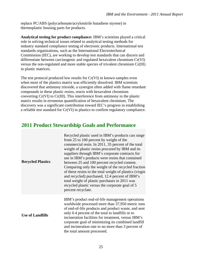replace PC/ABS (polycarbonate/acrylonitrile butadiene styrene) in thermoplastic housing parts for products.

**Analytical testing for product compliance:** IBM's scientists played a critical role in solving technical issues related to analytical testing methods for industry standard compliance testing of electronic products. International test standards organizations, such as the International Electrotechnical Commission (IEC), are working to develop test standards that can discern and differentiate between carcinogenic and regulated hexavalent chromium Cr(VI) versus the non-regulated and more stable species of trivalent chromium Cr(III) in plastic matrices.

The test protocol produced low results for Cr(VI) in known samples even when most of the plastics matrix was efficiently dissolved. IBM scientists discovered that antimony trioxide, a synergist often added with flame retardant compounds in these plastic resins, reacts with hexavalent chromium converting Cr(VI) to Cr(III). This interference from antimony in the plastic matrix results in erroneous quantification of hexavalent chromium. The discovery was a significant contribution toward IEC's progress in establishing a reliable test standard for Cr(VI) in plastics to confirm regulatory compliance.

### **2011 Product Stewardship Goals and Performance**

| <b>Recycled Plastics</b> | Recycled plastic used in IBM's products can range<br>from 25 to 100 percent by weight of the<br>commercial resin. In 2011, 35 percent of the total<br>weight of plastic resins procured by IBM and its<br>suppliers through IBM's corporate contracts for<br>use in IBM's products were resins that contained<br>between 25 and 100 percent recycled content.<br>Comparing only the weight of the recycled fraction<br>of these resins to the total weight of plastics (virgin<br>and recycled) purchased, 12.4 percent of IBM's<br>total weight of plastic purchases in 2011 was<br>recycled plastic versus the corporate goal of 5<br>percent recyclate. |
|--------------------------|------------------------------------------------------------------------------------------------------------------------------------------------------------------------------------------------------------------------------------------------------------------------------------------------------------------------------------------------------------------------------------------------------------------------------------------------------------------------------------------------------------------------------------------------------------------------------------------------------------------------------------------------------------|
| <b>Use of Landfills</b>  | IBM's product end-of-life management operations<br>worldwide processed more than 37,950 metric tons<br>of end-of-life products and product waste, and sent<br>only 0.4 percent of the total to landfills or to<br>incineration facilities for treatment, versus IBM's<br>corporate goal of minimizing its combined landfill<br>and incineration rate to no more than 3 percent of<br>the total amount processed.                                                                                                                                                                                                                                           |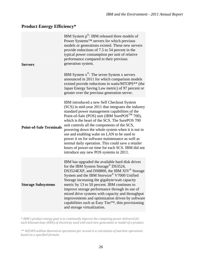### **Product Energy Efficiency\***

| <b>Servers</b>                 | IBM System $p^{\circledast}$ : IBM released three models of<br>Power Systems <sup>™</sup> servers for which previous<br>models or generations existed. These new servers<br>provide reductions of 7.5 to 54 percent in the<br>typical power consumption per unit of relative<br>performance compared to their previous<br>generation system.<br>IBM System $x^{\circledast}$ : The seven System x servers<br>announced in 2011 for which comparison models<br>existed provide reductions in watts/MTOPS** (the<br>Japan Energy Saving Law metric) of 97 percent or<br>greater over the previous generation server.       |
|--------------------------------|--------------------------------------------------------------------------------------------------------------------------------------------------------------------------------------------------------------------------------------------------------------------------------------------------------------------------------------------------------------------------------------------------------------------------------------------------------------------------------------------------------------------------------------------------------------------------------------------------------------------------|
| <b>Point-of-Sale Terminals</b> | IBM introduced a new Self Checkout System<br>(SCS) in mid-year 2011 that integrates the industry<br>standard power management capabilities of the<br>Point-of-Sale (POS) unit (IBM SurePOS <sup>™</sup> 700),<br>which is the heart of the SCS. The SurePOS 700<br>unit controls all the components of the SCS,<br>powering down the whole system when it is not in<br>use and enabling wake on LAN to be used to<br>power it on for software maintenance as well as<br>normal daily operation. This could save a retailer<br>hours of power-on time for each SCS. IBM did not<br>introduce any new POS systems in 2011. |
| <b>Storage Subsystems</b>      | IBM has upgraded the available hard disk drives<br>for the IBM System Storage <sup>®</sup> DS3524,<br>DS3524EXP, and DS8800, the IBM XIV <sup>®</sup> Storage<br>System and the IBM Storwize® V7000 Unified<br>Storage increasing the gigabyte/watt capacity<br>metric by 13 to 50 percent. IBM continues to<br>improve storage performance through its use of<br>mixed drive systems with capacity and throughput<br>improvements and optimization driven by software<br>capabilities such as Easy Tier™, thin provisioning<br>and storage virtualization.                                                              |

*\* IBM's product energy goal is to continually improve the computing power delivered for each kilowatt-hour (kWh) of electricity used with each new generation or model of a product.* 

*\*\* MTOPS-million theoretical operations per second is a calculation of machine operations based on a specified formula.*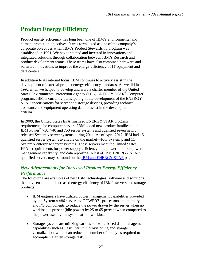## **Product Energy Efficiency**

Product energy efficiency has long been one of IBM's environmental and climate protection objectives. It was formalized as one of the company's corporate objectives when IBM's Product Stewardship program was established in 1991. We have initiated and invested in innovations and integrated solutions through collaboration between IBM's Research and product development teams. These teams have also combined hardware and software innovations to improve the energy efficiency of IT equipment and data centers.

In addition to its internal focus, IBM continues to actively assist in the development of external product energy efficiency standards. As we did in 1992 when we helped to develop and were a charter member of the United States Environmental Protection Agency (EPA) ENERGY STAR® Computer program, IBM is currently participating in the development of the ENERGY STAR specifications for server and storage devices, providing technical assistance and equipment operating data to assist in the development of criteria.

In 2009, the United States EPA finalized ENERGY STAR program requirements for computer servers. IBM added new product families to its IBM Power® 730, 740 and 750 server systems and qualified seven newly released System x server systems during 2011. As of April 2012, IBM had 15 qualified server systems available on the market—four System p and 11 System x enterprise server systems. These servers meet the United States EPA's requirements for power supply efficiency, idle power limits or power management capability, and data reporting. A list of IBM ENERGY STAR qualified servers may be found on the **IBM and ENERGY STAR** page.

### *New Advancements for Increased Product Energy Efficiency Performance*

The following are examples of new IBM technologies, software and solutions that have enabled the increased energy efficiency of IBM's servers and storage products:

- IBM engineers have utilized power management capabilities provided by the System x  $x86$  server and POWER7<sup>®</sup> processors and memory and I/O components to reduce the power drawn by the server when no workload is present (idle power) by 25 to 65 percent when compared to the power used by the system at full workload.
- Storage systems are utilizing various software-based data management capabilities such as Easy Tier, thin provisioning and storage virtualization, which can reduce the number of terabytes required to accomplish a given storage task.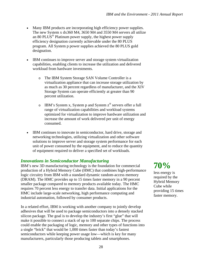- Many IBM products are incorporating high efficiency power supplies. The new System x dx360 M4, 3650 M4 and 3550 M4 servers all utilize an 80 PLUS<sup>®</sup> Platinum power supply, the highest power supply efficiency designation currently achievable under the 80 PLUS program. All System p power supplies achieved the 80 PLUS gold designation.
- IBM continues to improve server and storage system virtualization capabilities, enabling clients to increase the utilization and delivered workload from hardware investments.
	- o The IBM System Storage SAN Volume Controller is a virtualization appliance that can increase storage utilization by as much as 30 percent regardless of manufacturer, and the XIV Storage System can operate efficiently at greater than 90 percent utilization.
	- o IBM's System x, System p and System  $z^{\circledast}$  servers offer a full range of virtualization capabilities and workload systems optimized for virtualization to improve hardware utilization and increase the amount of work delivered per unit of energy consumed.
- IBM continues to innovate in semiconductor, hard drive, storage and networking technologies, utilizing virtualization and other software solutions to improve server and storage system performance for each unit of power consumed by the equipment, and to reduce the quantity of equipment required to deliver a specified set of workloads.

### *Innovations in Semiconductor Manufacturing*

IBM's new 3D manufacturing technology is the foundation for commercial production of a Hybrid Memory Cube (HMC) that combines high-performance logic circuitry from IBM with a standard dynamic random-access memory (DRAM). The HMC provides up to 15 times faster memory in a 90 percent smaller package compared to memory products available today. The HMC requires 70 percent less energy to transfer data. Initial applications for the HMC include large-scale networking, high performance computing and industrial automation, followed by consumer products.

In a related effort, IBM is working with another company to jointly develop adhesives that will be used to package semiconductors into a densely stacked silicon package. The goal is to develop the industry's first "glue" that will make it possible to connect a stack of up to 100 separate chips. The process could enable the packaging of logic, memory and other types of functions into a single "brick" that would be 1,000 times faster than today's fastest semiconductors while keeping power usage low—which is key for many manufacturers, particularly those producing tablets and smartphones.

**70%**  less energy is required by the Hybrid Memory Cube while providing 15 times faster memory.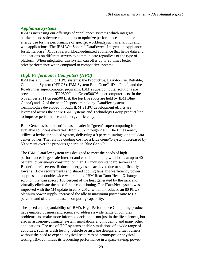### *Appliance Systems*

IBM is increasing our offerings of "appliance" systems which integrate hardware and software components to optimize performance and reduce energy use for the performance of specific workloads such as analytics and web applications. The IBM WebSphere<sup>®</sup> DataPower<sup>®</sup> Integration Appliance for zEnterprise® XI50z is a workload-optimized appliance that helps data and applications on different servers to communicate regardless of the type of platform. When integrated, this system can offer up to 23 times better price/performance when compared to competitive systems.

### *High Performance Computers (HPC)*

IBM has a full menu of HPC systems: the Productive, Easy-to-Use, Reliable, Computing System (PERCS), IBM System Blue Gene®, iDataPlex®, and the Roadrunner supercomputer programs. IBM's supercomputer solutions are prevalent on both the TOP500<sup>®</sup> and Green500<sup>™</sup> supercomputer lists. In the November 2011 Green500 List, the top five spots are held by IBM Blue Gene/Q and 12 of the next 20 spots are held by iDataPlex systems. Technologies developed through IBM's HPC development efforts are leveraged across the entire IBM Systems and Technology Group product line to improve performance and energy efficiency.

Blue Gene has been identified as a leader in "green" supercomputing for available solutions every year from 2007 through 2011. The Blue Gene/Q utilizes a hydro-air cooled system, delivering a 9 percent savings on total data center power. The relative cooling cost for a Blue Gene/Q system decreased by 50 percent over the previous generation Blue Gene/P.

The IBM iDataPlex system was designed to meet the needs of high performance, large-scale Internet and cloud computing workloads at up to 40 percent lower energy consumption than 1U industry standard servers and BladeCenter<sup>®</sup> servers. Reduced energy use is achieved due to significantly lower air flow requirements and shared cooling fans, high-efficiency power supplies and a double-wide water cooled IBM Rear Door Heat eXchanger solution that can absorb 100 percent of the heat generated by the rack and virtually eliminate the need for air conditioning. The iDataPlex system was improved with the M4 update in early 2012, which introduced an 80 PLUS platinum power supply, increased the idle to maximum power ratio to 63 percent, and offered increased computing capability.

The speed and expandability of IBM's High Performance Computing products have enabled business and science to address a wide range of complex problems and make more informed decisions—not just in the life sciences, but also in astronomy, climate, system simulations and modeling and many other applications. The use of HPC systems enable simulations of a wide range of activities, such as crash testing, vehicle or airplane designs and fuel burners, without the need to expend physical resources on prototypes or physical testing. IBM continues its leadership performance in a space-saving, power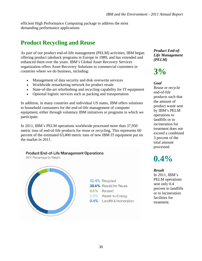efficient High Performance Computing package to address the most demanding performance applications.

### **Product Recycling and Reuse**

As part of our product end-of-life management (PELM) activities, IBM began offering product takeback programs in Europe in 1989, and has extended and enhanced them over the years. IBM's Global Asset Recovery Services organization offers Asset Recovery Solutions to commercial customers in countries where we do business, including:

- Management of data security and disk overwrite services
- Worldwide remarketing network for product resale
- State-of-the-art refurbishing and recycling capability for IT equipment
- Optional logistic services such as packing and transportation

In addition, in many countries and individual US states, IBM offers solutions to household consumers for the end-of-life management of computer equipment, either through voluntary IBM initiatives or programs in which we participate.

In 2011, IBM's PELM operations worldwide processed more than 37,950 metric tons of end-of-life products for reuse or recycling. This represents 60 percent of the estimated 63,400 metric tons of new IBM IT equipment put on the market in 2011.

**Product End-of-Life Management Operations** 





52.4% Recycled 38.6% Resold for Reuse 6.6% Reused 2.0% Waste-to-Energy 0.4% Landfill & Incineration *Product End-of-Life Management (PELM)* 

## **3%**

### *Goal*

Reuse or recycle end-of-life products such that the amount of product waste sent by IBM's PELM operations to landfills or to incineration for treatment does not exceed a combined 3 percent of the total amount processed.

## **0.4%**

#### *Result*

In 2011, IBM's PELM operations sent only 0.4 percent to landfills or to incineration facilities for treatment.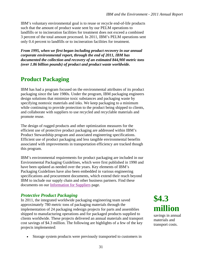IBM's voluntary environmental goal is to reuse or recycle end-of-life products such that the amount of product waste sent by our PELM operations to landfills or to incineration facilities for treatment does not exceed a combined 3 percent of the total amount processed. In 2011, IBM's PELM operations sent only 0.4 percent to landfills or to incineration facilities for treatment.

*From 1995, when we first began including product recovery in our annual corporate environmental report, through the end of 2011, IBM has documented the collection and recovery of an estimated 844,900 metric tons (over 1.86 billion pounds) of product and product waste worldwide.* 

### **Product Packaging**

IBM has had a program focused on the environmental attributes of its product packaging since the late 1980s. Under the program, IBM packaging engineers design solutions that minimize toxic substances and packaging waste by specifying nontoxic materials and inks. We keep packaging to a minimum while continuing to provide protection to the product being shipped to clients, and collaborate with suppliers to use recycled and recyclable materials and promote reuse.

The design of rugged products and other optimization measures for the efficient use of protective product packaging are addressed within IBM's Product Stewardship program and associated engineering specifications. Efficient use of product packaging and less tangible environmental benefits associated with improvements in transportation efficiency are tracked though this program.

IBM's environmental requirements for product packaging are included in our Environmental Packaging Guidelines, which were first published in 1990 and have been updated as needed over the years. Key elements of IBM's Packaging Guidelines have also been embedded in various engineering specifications and procurement documents, which extend their reach beyond IBM to include our supply chain and other business partners. Find these documents on our [Information for Suppliers](http://www.ibm.com/procurement/proweb.nsf/ContentDocsByTitle/United+States~Information+for+suppliers) page.

### *Protective Product Packaging*

In 2011, the integrated worldwide packaging engineering team saved approximately 780 metric tons of packaging materials through the implementation of 24 packaging redesign projects for parts and assemblies shipped to manufacturing operations and for packaged products supplied to clients worldwide. These projects delivered an annual materials and transport cost savings of \$4.3 million. The following are highlights of a few of the key projects implemented:

Storage system products were previously transported to customers in

**\$4.3 million** savings in annual materials and

transport costs.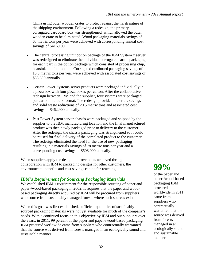China using outer wooden crates to protect against the harsh nature of the shipping environment. Following a redesign, the primary corrugated cardboard box was strengthened, which allowed the outer wooden crate to be eliminated. Wood packaging materials savings of 65 metric tons per year were achieved with corresponding annual cost savings of \$416,100.

- The central processing unit option package of the IBM System x server was redesigned to eliminate the individual corrugated carton packaging for each part in the option package which consisted of processing chip, heatsink and fan module. Corrugated cardboard packaging savings of 10.8 metric tons per year were achieved with associated cost savings of \$88,600 annually.
- Certain Power Systems server products were packaged individually in a pizza box with four pizza boxes per carton. After the collaborative redesign between IBM and the supplier, four systems were packaged per carton in a bulk format. The redesign provided materials savings and solid waste reductions of 20.5 metric tons and associated cost savings of \$462,900 annually.
- Past Power System server chassis were packaged and shipped by the supplier to the IBM manufacturing location and the final manufactured product was then newly packaged prior to delivery to the customer. After the redesign, the chassis packaging was strengthened so it could be reused for final delivery of the completed product to the customer. The redesign eliminated the need for the use of new packaging resulting in a materials savings of 78 metric tons per year and a corresponding cost savings of \$508,000 annually.

When suppliers apply the design improvements achieved through collaboration with IBM to packaging designs for other customers, the environmental benefits and cost savings can be far-reaching.

### *IBM's Requirement for Sourcing Packaging Materials*

We established IBM's requirement for the responsible sourcing of paper and paper-/wood-based packaging in 2002. It requires that the paper and woodbased packaging directly acquired by IBM will be procured from suppliers who source from sustainably managed forests where such sources exist.

When this goal was first established, sufficient quantities of sustainably sourced packaging materials were not yet available for much of the company's needs. With a continued focus on this objective by IBM and our suppliers over the years, in 2011, 99 percent of the paper and paper-/wood-based packaging IBM procured worldwide came from suppliers who contractually warranted that the source was derived from forests managed in an ecologically sound and sustainable manner.

## **99%**

of the paper and paper-/wood-based packaging IBM procured worldwide in 2011 came from suppliers who contractually warranted that the source was derived from forests managed in an ecologically sound and sustainable manner.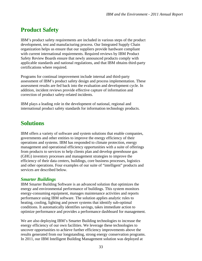### **Product Safety**

IBM's product safety requirements are included in various steps of the product development, test and manufacturing process. Our Integrated Supply Chain organization helps us ensure that our suppliers provide hardware compliant with current international requirements. Required reviews by IBM Product Safety Review Boards ensure that newly announced products comply with applicable standards and national regulations, and that IBM obtains third-party certifications where required.

Programs for continual improvement include internal and third-party assessment of IBM's product safety design and process implementation. These assessment results are fed back into the evaluation and development cycle. In addition, incident reviews provide effective capture of information and correction of product safety-related incidents.

IBM plays a leading role in the development of national, regional and international product safety standards for information technology products.

### **Solutions**

IBM offers a variety of software and system solutions that enable companies, governments and other entities to improve the energy efficiency of their operations and systems. IBM has responded to climate protection, energy management and operational efficiency opportunities with a suite of offerings from products to services to help clients plan and develop greenhouse gas (GHG) inventory processes and management strategies to improve the efficiency of their data centers, buildings, core business processes, logistics and other operations. Four examples of our suite of "intelligent" products and services are described below.

### *Smarter Buildings*

IBM Smarter Building Software is an advanced solution that optimizes the energy and environmental performance of buildings. This system monitors energy-consuming equipment, manages maintenance activities and reports performance using IBM software. The solution applies analytic rules to heating, cooling, lighting and power systems that identify sub-optimal conditions. It automatically identifies savings, takes immediate action to optimize performance and provides a performance dashboard for management.

We are also deploying IBM's Smarter Building technologies to increase the energy efficiency of our own facilities. We leverage these technologies to uncover opportunities to achieve further efficiency improvements above the results generated from our longstanding, strong energy conservation programs. In 2011, our IBM Intelligent Building Management solution was deployed at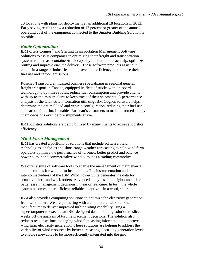10 locations with plans for deployment at an additional 18 locations in 2012. Early saving results show a reduction of 12 percent or greater of the annual operating cost of the equipment connected to the Smarter Building Solution is possible.

### *Route Optimization*

IBM offers Cognos® and Sterling Transportation Management Software Solutions to assist companies in optimizing their freight and transportation systems to increase container/truck capacity utilization on each trip, optimize routing and improve on-time delivery. These software products assist our clients in a range of industries to improve their efficiency, and reduce their fuel use and carbon emissions.

Rosenau Transport, a midsized business specializing in regional general freight transport in Canada, equipped its fleet of trucks with on-board technology to optimize routes, reduce fuel consumption and provide clients with up-to-the-minute alerts to keep track of their shipments. A performance analysis of the telemetric information utilizing IBM Cognos software helps determine the optimal load and vehicle configuration, reducing their fuel use and carbon footprint. It enables Rosenau's customers to make informed supply chain decisions even before shipments arrive.

IBM logistics solutions are being utilized by many clients to achieve logistics efficiency.

### *Wind Farm Management*

IBM has created a portfolio of solutions that include software, field technologies, analytics and short-range weather forecasting to help wind farm operators optimize the performance of turbines, better predict and balance power output and commercialize wind output as a trading commodity.

We offer a suite of software tools to enable the management of maintenance and operations for wind farm installations. The instrumentation and interconnectedness of the IBM Wind Power Suite generates the data for proactive alerts and work orders. Advanced analytics and insight can enable better asset management decisions in near or real-time. In turn, the whole system becomes more efficient, reliable, adaptive—in a word, smarter.

IBM also provides computing solutions to optimize the electricity generation from wind farms. We are partnering with a commercial wind turbine manufacturer to deliver improved turbine siting capability using a supercomputer to execute an IBM-designed data modeling solution to slice weeks off the analysis of turbine placement decisions. The solution also reduces response time, managing wind forecasting information to improve wind farm electricity generation. These solutions are helping to address the variability of wind resources by better forecasting electricity generation levels to enable renewables to be more efficiently integrated into the grid.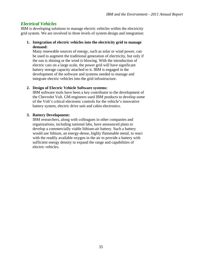### *Electrical Vehicles*

IBM is developing solutions to manage electric vehicles within the electricity grid system. We are involved in three levels of system design and integration:

#### **1. Integration of electric vehicles into the electricity grid to manage demand:**

Many renewable sources of energy, such as solar or wind power, can be used to augment the traditional generation of electricity, but only if the sun is shining or the wind is blowing. With the introduction of electric cars on a large scale, the power grid will have significant battery storage capacity attached to it. IBM is engaged in the development of the software and systems needed to manage and integrate electric vehicles into the grid infrastructure.

#### **2. Design of Electric Vehicle Software systems:**

IBM software tools have been a key contributor to the development of the Chevrolet Volt. GM engineers used IBM products to develop some of the Volt's critical electronic controls for the vehicle's innovative battery system, electric drive unit and cabin electronics.

#### **3. Battery Development:**

IBM researchers, along with colleagues in other companies and organizations, including national labs, have announced plans to develop a commercially viable lithium-air battery. Such a battery would use lithium, an energy-dense, highly flammable metal, to react with the readily available oxygen in the air to provide a battery with sufficient energy density to expand the range and capabilities of electric vehicles.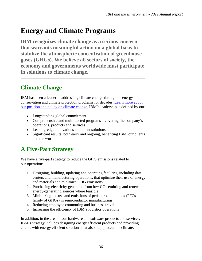## **Energy and Climate Programs**

**IBM recognizes climate change as a serious concern that warrants meaningful action on a global basis to stabilize the atmospheric concentration of greenhouse gases (GHGs). We believe all sectors of society, the economy and governments worldwide must participate in solutions to climate change.** 

\_\_\_\_\_\_\_\_\_\_\_\_\_\_\_\_\_\_\_\_\_\_\_\_\_\_\_\_\_\_\_\_\_\_\_\_\_\_\_\_\_\_\_\_\_\_\_\_\_\_\_\_\_\_\_\_\_\_\_\_\_\_\_

## **Climate Change**

IBM has been a leader in addressing climate change through its energy conservation and climate protection programs for decades. [Learn more about](http://www.ibm.com/ibm/environment/climate/position.shtml)  [our position and policy on climate change.](http://www.ibm.com/ibm/environment/climate/position.shtml) IBM's leadership is defined by our:

- Longstanding global commitment
- Comprehensive and multifaceted programs—covering the company's operations, products and services
- Leading-edge innovations and client solutions
- Significant results, both early and ongoing, benefiting IBM, our clients and the world

## **A Five-Part Strategy**

We have a five-part strategy to reduce the GHG emissions related to our operations:

- 1. Designing, building, updating and operating facilities, including data centers and manufacturing operations, that optimize their use of energy and materials and minimize GHG emissions
- 2. Purchasing electricity generated from low  $CO<sub>2</sub>$ -emitting and renewable energy-generating sources where feasible
- 3. Minimizing the use and emissions of perfluorocompounds (PFCs—a family of GHGs) in semiconductor manufacturing
- 4. Reducing employee commuting and business travel
- 5. Increasing the efficiency of IBM's logistics operations

In addition, in the area of our hardware and software products and services, IBM's strategy includes designing energy efficient products and providing clients with energy efficient solutions that also help protect the climate.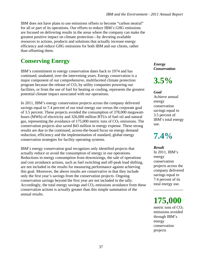IBM does not have plans to use emissions offsets to become "carbon neutral" for all or part of its operations. Our efforts to reduce IBM's GHG emissions are focused on delivering results in the areas where the company can make the greatest positive impact on climate protection—by devoting available resources to actions, products and solutions that actually increase energy efficiency and reduce GHG emissions for both IBM and our clients, rather than offsetting them.

### **Conserving Energy**

IBM's commitment to energy conservation dates back to 1974 and has continued, unabated, over the intervening years. Energy conservation is a major component of our comprehensive, multifaceted climate protection program because the release of  $CO<sub>2</sub>$  by utility companies powering our facilities, or from the use of fuel for heating or cooling, represents the greatest potential climate impact associated with our operations.

In 2011, IBM's energy conservation projects across the company delivered savings equal to 7.4 percent of our total energy use versus the corporate goal of 3.5 percent. These projects avoided the consumption of 378,000 megawatthours (MWh) of electricity and 326,000 million BTUs of fuel oil and natural gas, representing the avoidance of  $175,000$  metric tons of  $CO<sub>2</sub>$  emissions. The conservation projects also saved \$43 million in energy expense. These strong results are due to the continued, across-the-board focus on energy demand reduction, efficiency and the implementation of standard, global energy conservation strategies for facility operating systems.

IBM's energy conservation goal recognizes only identified projects that actually reduce or avoid the consumption of energy in our operations. Reductions in energy consumption from downsizings, the sale of operations and cost avoidance actions, such as fuel switching and off-peak load shifting, are not included in the results for measuring performance against achieving this goal. Moreover, the above results are conservative in that they include only the first year's savings from the conservation projects. Ongoing conservation savings beyond the first year are not included in the tally. Accordingly, the total energy savings and  $CO<sub>2</sub>$  emissions avoidance from these conservation actions is actually greater than this simple summation of the annual results.

*Energy Conservation* 

**3.5%** 

*Goal*  Achieve annual energy conservation savings equal to 3.5 percent of IBM's total energy use.

**7.4%** 

*Result*  In 2011, IBM's energy conservation projects across the company delivered savings equal to 7.4 percent of its total energy use.

**175,000**

\_\_\_\_\_\_\_\_\_\_\_\_\_\_\_

metric tons of  $CO<sub>2</sub>$ emissions avoided through IBM's energy conservation projects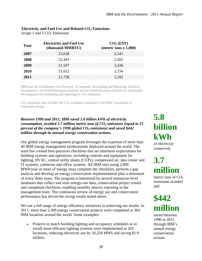|      | <b>Electricity and Fuel Use</b> | CO <sub>2</sub> (EST)    |
|------|---------------------------------|--------------------------|
| Year | (thousand MMBTU)                | (metric tons $x 1,000$ ) |
| 2007 | 23,638                          | 2,541                    |
| 2008 | 22,443                          | 2,502                    |
| 2009 | 21,507                          | 2,436                    |
| 2010 | 21,622                          | 2,156                    |
| 2011 | 21,758                          | 2,182                    |

#### Electricity and Fuel Use and Related CO<sub>2</sub> Emissions

Scope 1 and  $2 \text{CO}_2$  Emissions

**2011** 21,758 2,182 IBM uses the Greenhouse Gas Protocol: A Corporate Accounting and Reporting Standard

developed by the World Resources Institute and the World Business Council for Sustainable Development for estimating and reporting its  $CO<sub>2</sub>$  emissions.

 $CO<sub>2</sub>$  emissions data includes the  $CO<sub>2</sub>$  avoidance associated with IBM's purchases of renewable energy.

#### *Between 1990 and 2011, IBM saved 5.8 billion kWh of electricity consumption, avoided 3.7 million metric tons of CO<sub>2</sub> emissions (equal to 55 percent of the company's 1990 global CO<sub>2</sub> emissions) and saved \$442 million through its annual energy conservation actions.*

Our global energy management program leverages the expertise of more than 40 IBM energy management professionals deployed around the world. The team has created best-practices checklists that set minimum expectations for building systems and operations, including controls and equipment for lighting, HVAC, central utility plants (CUPs), compressed air, data center and IT systems, cafeterias and office systems. All IBM sites using 2,000 MWh/year or more of energy must complete the checklists, perform a gap analysis and develop an energy conservation implementation plan a minimum of every three years. The program is buttressed by several enterprise-level databases that collect and store energy-use data, conservation project results and completed checklists, enabling monthly metrics reporting to the management team. The continuous review of energy use and conservation performance has driven the strong results noted above.

We use a full range of energy efficiency initiatives in achieving our results. In 2011, more than 2,300 energy conservation projects were completed at 364 IBM locations around the world. Some examples:

 Projects to match building lighting and occupancy schedules or to install more efficient lighting systems were implemented at 203 locations, reducing electricity use by 16,220 MWh and saving \$1.9 million.

## **5.8 billion kWh**

of electricity conserved,

## **3.7 million**

metric tons of  $CO<sub>2</sub>$ emissions avoided and

## **\$442 million**

saved between 1990 to 2011 through IBM's annual energy conservation actions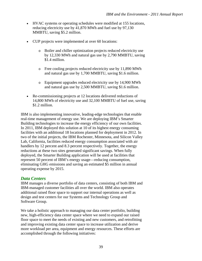- HVAC systems or operating schedules were modified at 155 locations, reducing electricity use by 41,870 MWh and fuel use by 97,130 MMBTU, saving \$5.2 million.
- CUP projects were implemented at over 60 locations:
	- o Boiler and chiller optimization projects reduced electricity use by 12,330 MWh and natural gas use by 2,790 MMBTU, saving \$1.4 million.
	- o Free cooling projects reduced electricity use by 11,890 MWh and natural gas use by 1,700 MMBTU, saving \$1.6 million.
	- o Equipment upgrades reduced electricity use by 14,900 MWh and natural gas use by 2,500 MMBTU, saving \$1.6 million.
- Re-commissioning projects at 12 locations delivered reductions of 14,800 MWh of electricity use and 32,100 MMBTU of fuel use, saving \$1.2 million.

IBM is also implementing innovative, leading-edge technologies that enable real-time management of energy use. We are deploying IBM's Smarter Building technologies to increase the energy efficiency of our own facilities. In 2011, IBM deployed this solution at 10 of its highest energy consuming facilities with an additional 18 locations planned for deployment in 2012. In two of the initial projects, the IBM Rochester, Minnesota, and Silicon Valley Lab, California, facilities reduced energy consumption associated with air handlers by 12 percent and 8.3 percent respectively. Together, the energy reductions at these two sites generated significant savings. When fully deployed, the Smarter Building application will be used at facilities that represent 50 percent of IBM's energy usage—reducing consumption, eliminating GHG emissions and saving an estimated \$5 million in annual operating expense by 2015.

### *Data Centers*

IBM manages a diverse portfolio of data centers, consisting of both IBM and IBM-managed customer facilities all over the world. IBM also operates additional raised floor space to support our internal operations as well as design and test centers for our Systems and Technology Group and Software Group.

We take a holistic approach to managing our data center portfolio, building new, high-efficiency data center space where we need to expand our raised floor space to meet the needs of existing and new customers, and retrofitting and improving existing data center space to increase utilization and derive more workload per area, equipment and energy resources. These efforts are accomplished through the following initiatives: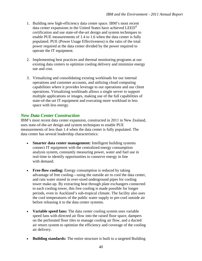- 1. Building new high-efficiency data center space. IBM's most recent data center expansions in the United States have achieved LEED® certification and use state-of-the-art design and system techniques to enable PUE measurements of 1.4 to 1.6 when the data center is fully populated. PUE (Power Usage Effectiveness) is the ratio of the total power required at the data center divided by the power required to operate the IT equipment.
- 2. Implementing best practices and thermal monitoring programs at our existing data centers to optimize cooling delivery and minimize energy use and cost.
- 3. Virtualizing and consolidating existing workloads for our internal operations and customer accounts, and utilizing cloud computing capabilities where it provides leverage to our operations and our client operations. Virtualizing workloads allows a single server to support multiple applications or images, making use of the full capabilities of state-of-the-art IT equipment and executing more workload in less space with less energy.

### *New Data Center Construction*

IBM's most recent data center expansion, constructed in 2011 in New Zealand, uses state-of-the-art design and system techniques to enable PUE measurements of less than 1.4 when the data center is fully populated. The data center has several leadership characteristics:

- Smarter data center management: Intelligent building systems connect IT equipment with the centralized energy consumption analysis system, constantly measuring power, water and fuel use in real-time to identify opportunities to conserve energy in line with demand.
- **Free-flow cooling:** Energy consumption is reduced by taking advantage of free cooling—using the outside air to cool the data center, and rain water stored in over-sized underground pipes for cooling tower make-up. By extracting heat through plate exchangers connected to each cooling tower, this free cooling is made possible for longer periods, even in Auckland's sub-tropical climate. The facility also uses the cool temperatures of the public water supply to pre-cool outside air before releasing it to the data center systems.
- **Variable speed fans:** The data center cooling system uses variable speed fans with directed air flow into the raised floor space, dampers on the perforated floor tiles to manage cooling air flow, and a ducted air return system to optimize the efficiency and coverage of the cooling air delivery.
- **Building standards:** The entire structure is built to a targeted Building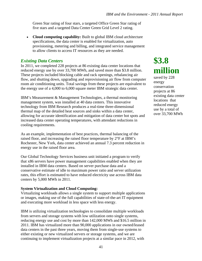Green Star rating of four stars, a targeted Office Green Star rating of five stars and a targeted Data Center Green Grid Level 2 rating.

 **Cloud computing capability:** Built to global IBM cloud architecture specifications, the data center is enabled for virtualization, auto provisioning, metering and billing, and integrated service management to allow clients to access IT resources as they are needed.

#### *Existing Data Centers*

In 2011, we completed 228 projects at 86 existing data center locations that reduced energy use by over 33,700 MWh, and saved more than \$3.8 million. These projects included blocking cable and rack openings, rebalancing air flow, and shutting down, upgrading and reprovisioning air flow from computer room air conditioning units. Total savings from these projects are equivalent to the energy use of a 4,000 to 6,000 square meter IBM strategic data center.

IBM's Measurement & Management Technologies, a thermal monitoring management system, was installed at 40 data centers. This innovative technology from IBM Research produces a real-time three-dimensional thermal map of the detailed heat sources and sinks within a data center, allowing for accurate identification and mitigation of data center hot spots and increased data center operating temperatures, with attendant reductions in cooling requirements.

As an example, implementation of best practices, thermal balancing of the raised floor, and increasing the raised floor temperature by 2°F at IBM's Rochester, New York, data center achieved an annual 7.3 percent reduction in energy use in the raised floor area.

Our Global Technology Services business unit initiated a program to verify that x86 servers have power management capabilities enabled when they are installed in IBM data centers. Based on server purchase data and a conservative estimate of idle to maximum power ratio and server utilization rates, this effort is estimated to have reduced electricity use across IBM data centers by 5,000 MWh in 2011.

#### **System Virtualization and Cloud Computing:**

Virtualizing workloads allows a single system to support multiple applications or images, making use of the full capabilities of state-of-the-art IT equipment and executing more workload in less space with less energy.

IBM is utilizing virtualization technologies to consolidate multiple workloads from servers and storage systems with low utilization onto single systems, reducing energy use and cost by more than 142,000 MWh and \$16.5 million in 2011. IBM has virtualized more than 90,000 applications in our owned/leased data centers in the past three years, moving them from single-use systems to either existing or new virtualized servers or storage systems, and we are continuing to implement virtualization projects at a similar pace in 2012, with

## **\$3.8 million**

saved by 228 energy conservation projects at 86 existing data center locations that reduced energy use by a total of over 33,700 MWh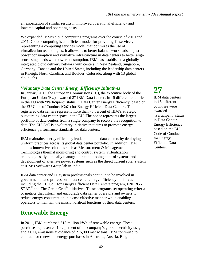an expectation of similar results in improved operational efficiency and lowered capital and operating costs.

We expanded IBM's cloud computing programs over the course of 2010 and 2011. Cloud computing is an efficient model for providing IT services, representing a computing services model that optimizes the use of virtualization technologies. It allows us to better balance workloads, adjust power consumption and virtualize infrastructure in data centers to better align processing needs with power consumption. IBM has established a globally integrated cloud delivery network with centers in New Zealand, Singapore, Germany, Canada and the United States, including the leadership data centers in Raleigh, North Carolina, and Boulder, Colorado, along with 13 global cloud labs.

### *Voluntary Data Center Energy Efficiency Initiatives*

In January 2012, the European Commission (EC), the executive body of the European Union (EU), awarded 27 IBM Data Centers in 15 different countries in the EU with "Participant" status in Data Center Energy Efficiency, based on the EU Code of Conduct (CoC) for Energy Efficient Data Centers. The registered data centers represent more than 70 percent of IBM's strategic outsourcing data center space in the EU. The honor represents the largest portfolio of data centers from a single company to receive the recognition to date. The EU CoC is a voluntary initiative that aims to promote energy efficiency performance standards for data centers.

IBM maintains energy efficiency leadership in its data centers by deploying uniform practices across its global data center portfolio. In addition, IBM applies innovative solutions such as Measurement & Management Technologies thermal monitoring and control system, virtualization technologies, dynamically managed air conditioning control systems and development of alternate power systems such as the direct current solar system at IBM's Software Group lab in India.

IBM data center and IT system professionals continue to be involved in governmental and professional data center energy efficiency initiatives including the EU CoC for Energy Efficient Data Centers program, ENERGY  $STAR^{\circledast}$  and The Green Grid<sup>®</sup> initiatives. These programs set operating criteria or metrics that inform and encourage data center operators and owners to reduce energy consumption in a cost-effective manner while enabling operators to maintain the mission-critical functions of their data centers.

### **Renewable Energy**

In 2011, IBM purchased 518 million kWh of renewable energy. These purchases represented 10.2 percent of the company's global electricity usage and a  $CO<sub>2</sub>$  emissions avoidance of 215,000 metric tons. IBM continued to contract for renewable energy purchases in Australia, Austria, Belgium,

## **27**

IBM data centers in 15 different countries were awarded "Participant" status in Data Center Energy Efficiency, based on the EU Code of Conduct for Energy Efficient Data Centers.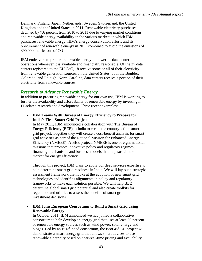Denmark, Finland, Japan, Netherlands, Sweden, Switzerland, the United Kingdom and the United States in 2011. Renewable electricity purchases declined by 7.6 percent from 2010 to 2011 due to varying market conditions and renewable energy availability in the various markets in which IBM purchases renewable energy. IBM's energy conservation efforts and its procurement of renewable energy in 2011 combined to avoid the emissions of 390,000 metric tons of  $CO<sub>2</sub>$ .

IBM endeavors to procure renewable energy to power its data center operations whenever it is available and financially reasonable. Of the 27 data centers registered to the EU CoC, 18 receive some or all of their electricity from renewable generation sources. In the United States, both the Boulder, Colorado, and Raleigh, North Carolina, data centers receive a portion of their electricity from renewable sources.

### *Research to Advance Renewable Energy*

In addition to procuring renewable energy for our own use, IBM is working to further the availability and affordability of renewable energy by investing in IT-related research and development. Three recent examples:

 **IBM Teams With Bureau of Energy Efficiency to Prepare for India's First Smart Grid Project** 

In May 2011, IBM announced a collaboration with The Bureau of Energy Efficiency (BEE) in India to create the country's first smart grid project. Together they will create a cost-benefit analysis for smart grid activities as part of the National Mission for Enhanced Energy Efficiency (NMEEE). A BEE project, NMEEE is one of eight national missions that promote innovative policy and regulatory regimes, financing mechanisms and business models that help sustain the market for energy efficiency.

Through this project, IBM plans to apply our deep services expertise to help determine smart grid readiness in India. We will lay out a strategic assessment framework that looks at the adoption of new smart grid technologies and identifies alignments in policy and regulatory frameworks to make each solution possible. We will help BEE determine global smart grid potential and also create toolkits for regulators and utilities to assess the benefits of smart grid investment decisions.

 **IBM Joins European Consortium to Build a Smart Grid Using Renewable Energy** 

In October 2011, IBM announced we had joined a collaborative consortium to help develop an energy grid that uses at least 50 percent of renewable energy sources such as wind power, solar energy and biogas. Led by an EU-funded consortium, the EcoGrid EU project will demonstrate a smart energy grid that allows smart devices to use renewable electricity based on near-real-time pricing and availability.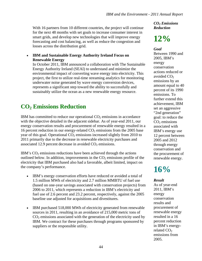With 16 partners from 10 different countries, the project will continue for the next 48 months with set goals to increase consumer interest in smart grids, and develop new technologies that will improve energy forecasting and cost balancing, as well as reduce the congestion and losses across the distribution grid.

#### **IBM and Sustainable Energy Authority Ireland Focus on Renewable Energy**

In October 2011, IBM announced a collaboration with The Sustainable Energy Authority Ireland (SEAI) to understand and minimize the environmental impact of converting wave energy into electricity. This project, the first to utilize real-time streaming analytics for monitoring underwater noise generated by wave energy conversion devices, represents a significant step toward the ability to successfully and sustainably utilize the ocean as a new renewable energy resource.

### **CO2 Emissions Reduction**

IBM has committed to reduce our operational  $CO<sub>2</sub>$  emissions in accordance with the objective detailed in the adjacent sidebar. As of year-end 2011, our energy conservation results and procurement of renewable energy resulted in a 16 percent reduction in our energy-related  $CO<sub>2</sub>$  emissions from the 2005 base year of this goal. Operational  $CO<sub>2</sub>$  emissions increased slightly from 2010 to 2011 primarily due to the decrease in renewable electricity purchases and associated 12.9 percent decrease in avoided  $CO<sub>2</sub>$  emissions.

IBM's  $CO<sub>2</sub>$  emissions reductions have been achieved through the actions outlined below. In addition, improvements in the  $CO<sub>2</sub>$  emissions profile of the electricity that IBM purchased also had a favorable, albeit limited, impact on the company's performance.

- IBM's energy conservation efforts have reduced or avoided a total of 1.5 million MWh of electricity and 2.7 million MMBTU of fuel use (based on one-year savings associated with conservation projects) from 2006 to 2011, which represents a reduction in IBM's electricity and fuel use of 2.6 percent and 23.2 percent, respectively, against the 2005 baseline use adjusted for acquisitions and divestitures.
- IBM purchased 518,000 MWh of electricity generated from renewable sources in 2011, resulting in an avoidance of 215,000 metric tons of  $CO<sub>2</sub>$  emissions associated with the generation of the electricity used by IBM. We contract for these purchases through programs sponsored by suppliers or the responsible utility.

*CO2 Emissions Reduction* 

## **12%**

#### *Goal*

Between 1990 and 2005, IBM's energy conservation actions reduced or avoided  $CO<sub>2</sub>$ emissions by an amount equal to 40 percent of its 1990 emissions. To further extend this achievement, IBM set an aggressive "2nd generation" goal: to reduce the  $CO<sub>2</sub>$  emissions associated with IBM's energy use 12 percent between 2005 and 2012 through energy conservation and the procurement of renewable energy.

## **16%**

### *Result*

As of year-end 2011, IBM's energy conservation results and procurement of renewable energy resulted in a 16 percent reduction in IBM's energyrelated  $CO<sub>2</sub>$ emissions from 2005.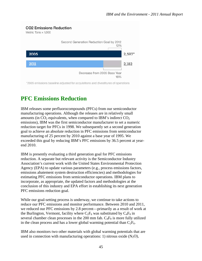### **CO2 Emissions Reduction**

Metric Tons  $\times$  1.000



## **PFC Emissions Reduction**

IBM releases some perfluorocompounds (PFCs) from our semiconductor manufacturing operations. Although the releases are in relatively small amounts (in  $CO<sub>2</sub>$  equivalents, when compared to IBM's indirect  $CO<sub>2</sub>$ emissions), IBM was the first semiconductor manufacturer to set a numeric reduction target for PFCs in 1998. We subsequently set a second generation goal to achieve an absolute reduction in PFC emissions from semiconductor manufacturing of 25 percent by 2010 against a base year of 1995. We exceeded this goal by reducing IBM's PFC emissions by 36.5 percent at yearend 2010.

IBM is presently evaluating a third generation goal for PFC emissions reduction. A separate but relevant activity is the Semiconductor Industry Association's current work with the United States Environmental Protection Agency (EPA) to update various parameters (e.g., process emissions factors, emissions abatement system destruction efficiencies) and methodologies for estimating PFC emissions from semiconductor operations. IBM plans to incorporate, as appropriate, the updated factors and methodologies at the conclusion of this industry and EPA effort in establishing its next generation PFC emissions reduction goal.

While our goal-setting process is underway, we continue to take actions to reduce our PFC emissions and monitor performance. Between 2010 and 2011, we reduced our PFC emissions by 2.8 percent—primarily as a result of work at the Burlington, Vermont, facility where  $C_2F_6$  was substituted by  $C_4F_8$  in several chamber clean processes in the 200 mm fab.  $C_4F_8$  is more fully utilized in the clean process and has a lower global warming potential than  $C_2F_6$ .

IBM also monitors two other materials with global warming potentials that are used in connection with manufacturing operations: 1) nitrous oxide  $(N_2O)$ ,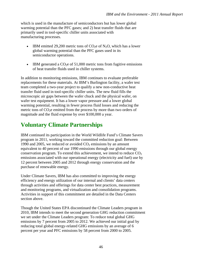which is used in the manufacture of semiconductors but has lower global warming potential than the PFC gases; and 2) heat transfer fluids that are primarily used in tool-specific chiller units associated with manufacturing processes.

- IBM emitted 29,200 metric tons of  $CO<sub>2</sub>e$  of N<sub>2</sub>O, which has a lower global warming potential than the PFC gases used in its semiconductor operations.
- $\bullet$  IBM generated a CO<sub>2</sub>e of 51,000 metric tons from fugitive emissions of heat transfer fluids used in chiller systems.

In addition to monitoring emissions, IBM continues to evaluate preferable replacements for these materials. At IBM's Burlington facility, a wafer test team completed a two-year project to qualify a new non-conductive heat transfer fluid used in tool-specific chiller units. The new fluid fills the microscopic air gaps between the wafer chuck and the physical wafer, on wafer test equipment. It has a lower vapor pressure and a lower global warming potential, resulting in fewer process fluid losses and reducing the metric tons of  $CO<sub>2</sub>e$  emitted from the process by more than two orders of magnitude and the fluid expense by over \$100,000 a year.

### **Voluntary Climate Partnerships**

IBM continued its participation in the World Wildlife Fund's Climate Savers program in 2011, working toward the committed reduction goal: Between 1990 and 2005, we reduced or avoided  $CO<sub>2</sub>$  emissions by an amount equivalent to 40 percent of our 1990 emissions through our global energy conservation program. To extend this achievement, we intend to reduce  $CO<sub>2</sub>$ emissions associated with our operational energy (electricity and fuel) use by 12 percent between 2005 and 2012 through energy conservation and the purchase of renewable energy.

Under Climate Savers, IBM has also committed to improving the energy efficiency and energy utilization of our internal and clients' data centers through activities and offerings for data center best practices, measurement and monitoring programs, and virtualization and consolidation programs. Activities in support of this commitment are detailed in the Data Centers section above.

Though the United States EPA discontinued the Climate Leaders program in 2010, IBM intends to meet the second generation GHG reduction commitment we set under the Climate Leaders program: To reduce total global GHG emissions by 7 percent from 2005 to 2012. We achieved our initial goal by reducing total global energy-related GHG emissions by an average of 6 percent per year and PFC emissions by 58 percent from 2000 to 2005.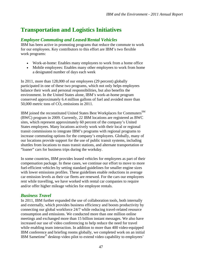### **Transportation and Logistics Initiatives**

### *Employee Commuting and Leased/Rental Vehicles*

IBM has been active in promoting programs that reduce the commute to work for our employees. Key contributors to this effort are IBM's two flexible work programs:

- Work-at-home: Enables many employees to work from a home office
- Mobile employees: Enables many other employees to work from home a designated number of days each week

In 2011, more than 128,000 of our employees (29 percent) globally participated in one of these two programs, which not only helps employees balance their work and personal responsibilities, but also benefits the environment. In the United States alone, IBM's work-at-home program conserved approximately 6.4 million gallons of fuel and avoided more than 50,000 metric tons of  $CO<sub>2</sub>$  emissions in 2011.

IBM joined the reconstituted United States Best Workplaces for Commuters<sup>SM</sup> (BWC) program in 2009. Currently, 22 IBM locations are registered as BWC sites, which represent approximately 60 percent of the company's United States employees. Many locations actively work with their local or regional transit commissions to integrate IBM's programs with regional programs to increase commuting options for the company's employees. Globally, many of our locations provide support for the use of public transit systems, including shuttles from locations to mass transit stations, and alternate transportation or "loaner" cars for business trips during the workday.

In some countries, IBM provides leased vehicles for employees as part of their compensation package. In these cases, we continue our effort to move to more fuel-efficient vehicles by setting standard guidelines for smaller engine sizes with lower emissions profiles. These guidelines enable reductions in average car emission levels as their car fleets are renewed. For the cars our employees rent while travelling, we have worked with rental car companies to require and/or offer higher mileage vehicles for employee rentals.

### *Business Travel*

In 2011, IBM further expanded the use of collaboration tools, both internally and externally, which provides business efficiency and boosts productivity by connecting our global workforce 24/7 while reducing travel-related resource consumption and emissions. We conducted more than one million online meetings and exchanged more than 15 billion instant messages. We also have increased our use of video conferencing to help reduce the need for travel while enabling team interaction. In addition to more than 400 video-equipped IBM conference and briefing rooms globally, we completed work on an initial IBM Sametime® desktop video pilot to extend video capability to employees'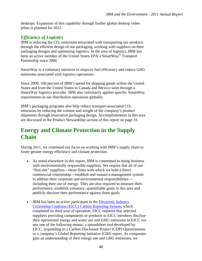desktops. Expansion of this capability through further global desktop video pilots is planned for 2012.

### *Efficiency of Logistics*

IBM is reducing the  $CO<sub>2</sub>$  emissions associated with transporting our products through the efficient design of our packaging, working with suppliers on their packaging designs and optimizing logistics. In the area of logistics, IBM has been an active member of the United States EPA's SmartWay<sup>®</sup> Transport Partnership since 2006.

SmartWay is a voluntary initiative to improve fuel efficiency and reduce GHG emissions associated with logistics operations.

Since 2009, 100 percent of IBM's spend for shipping goods within the United States and from the United States to Canada and Mexico went through a SmartWay logistics provider. IBM also voluntarily applies specific SmartWay requirements to our distribution operations globally.

IBM's packaging programs also help reduce transport-associated  $CO<sub>2</sub>$ emissions by reducing the volume and weight of the company's product shipments through innovative packaging design. Accomplishments in this area are discussed in the Product Stewardship section of this report on page 31.

### **Energy and Climate Protection in the Supply Chain**

During 2011, we continued our focus on working with IBM's supply chain to foster greater energy efficiency and climate protection.

- As noted elsewhere in this report, IBM is committed to doing business with environmentally responsible suppliers. We require that all of our "first-tier" suppliers—those firms with which we hold a direct commercial relationship—establish and sustain a management system to address their corporate and environmental responsibilities including their use of energy. They are also required to measure their performance, establish voluntary, quantifiable goals in this area and publicly disclose their performance against those goals.
- IBM has been an active participant in the Electronic Industry [Citizenship Coalition \(EICC\) Carbon Reporting System,](http://www.eicc.info/CarbonReportingSystem.shtml) which completed its third year of operation. EICC requests that selected suppliers providing components or products to EICC members disclose their operational energy and water use and GHG emissions to EICC via any one of the following means: a spreadsheet tool developed by EICC, responding to a Carbon Disclosure Project (CDP) Questionnaire or a company's Global Reporting Initiative (GRI) report. As companies gain an understanding of their energy use and GHG emissions, we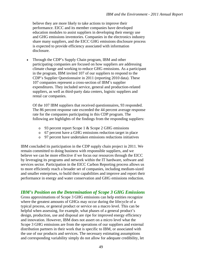believe they are more likely to take actions to improve their performance. EICC and its member companies have developed education modules to assist suppliers in developing their energy use and GHG emissions inventories. Companies in the electronics industry share many suppliers, and the EICC GHG emissions disclosure process is expected to provide efficiency associated with information disclosure.

 Through the CDP's Supply Chain program, IBM and other participating companies are focused on how suppliers are addressing climate change and working to reduce GHG emissions. As a participant in the program, IBM invited 107 of our suppliers to respond to the CDP's Supplier Questionnaire in 2011 (reporting 2010 data). These 107 companies represent a cross-section of IBM's supplier expenditures. They included service, general and production-related suppliers, as well as third-party data centers, logistic suppliers and rental car companies.

Of the 107 IBM suppliers that received questionnaires, 93 responded. The 86 percent response rate exceeded the 44 percent average response rate for the companies participating in this CDP program. The following are highlights of the findings from the responding suppliers:

- o 93 percent report Scope 1 & Scope 2 GHG emissions
- o 67 percent have a GHG emissions reduction target in place
- o 97 percent have undertaken emissions reductions initiatives

IBM concluded its participation in the CDP supply chain project in 2011. We remain committed to doing business with responsible suppliers, and we believe we can be more effective if we focus our resources through the EICC by leveraging its programs and network within the IT hardware, software and services sector. Participation in the EICC Carbon Reporting process allows us to more efficiently reach a broader set of companies, including medium-sized and smaller enterprises, to build their capabilities and improve and report their performance in energy and water conservation and GHG emissions reduction.

### *IBM's Position on the Determination of Scope 3 GHG Emissions*

Gross approximations of Scope 3 GHG emissions can help entities recognize where the greatest amounts of GHGs may occur during the lifecycle of a typical process, or general product or service on a macro level. This can be helpful when assessing, for example, what phases of a general product's design, production, use and disposal are ripe for improved energy efficiency and innovation. However, IBM does not assert on a micro level what the Scope 3 GHG emissions are from the operations of our suppliers and external distribution partners in their work that is specific to IBM, or associated with the use of our products and services. The necessary estimating assumptions and corresponding variability simply do not allow for adequate credibility, let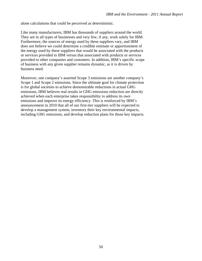alone calculations that could be perceived as deterministic.

Like many manufacturers, IBM has thousands of suppliers around the world. They are in all types of businesses and very few, if any, work solely for IBM. Furthermore, the sources of energy used by these suppliers vary, and IBM does not believe we could determine a credible estimate or apportionment of the energy used by these suppliers that would be associated with the products or services provided to IBM versus that associated with products or services provided to other companies and customers. In addition, IBM's specific scope of business with any given supplier remains dynamic, as it is driven by business need.

Moreover, one company's asserted Scope 3 emissions are another company's Scope 1 and Scope 2 emissions. Since the ultimate goal for climate protection is for global societies to achieve demonstrable reductions in actual GHG emissions, IBM believes real results in GHG emissions reduction are directly achieved when each enterprise takes responsibility to address its own emissions and improve its energy efficiency. This is reinforced by IBM's announcement in 2010 that all of our first-tier suppliers will be expected to develop a management system, inventory their key environmental impacts, including GHG emissions, and develop reduction plans for those key impacts.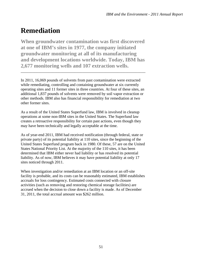## **Remediation**

**When groundwater contamination was first discovered at one of IBM's sites in 1977, the company initiated groundwater monitoring at all of its manufacturing and development locations worldwide. Today, IBM has 2,677 monitoring wells and 107 extraction wells.** 

\_\_\_\_\_\_\_\_\_\_\_\_\_\_\_\_\_\_\_\_\_\_\_\_\_\_\_\_\_\_\_\_\_\_\_\_\_\_\_\_\_\_\_\_\_\_\_\_\_\_\_\_\_\_\_\_\_\_\_\_\_\_\_

In 2011, 16,069 pounds of solvents from past contamination were extracted while remediating, controlling and containing groundwater at six currently operating sites and 11 former sites in three countries. At four of these sites, an additional 1,837 pounds of solvents were removed by soil vapor extraction or other methods. IBM also has financial responsibility for remediation at two other former sites.

As a result of the United States Superfund law, IBM is involved in cleanup operations at some non-IBM sites in the United States. The Superfund law creates a retroactive responsibility for certain past actions, even though they may have been technically and legally acceptable at the time.

As of year-end 2011, IBM had received notification (through federal, state or private party) of its potential liability at 110 sites, since the beginning of the United States Superfund program back in 1980. Of these, 57 are on the United States National Priority List. At the majority of the 110 sites, it has been determined that IBM either never had liability or has resolved its potential liability. As of now, IBM believes it may have potential liability at only 17 sites noticed through 2011.

When investigation and/or remediation at an IBM location or an off-site facility is probable, and its costs can be reasonably estimated, IBM establishes accruals for loss contingency. Estimated costs connected with closure activities (such as removing and restoring chemical storage facilities) are accrued when the decision to close down a facility is made. As of December 31, 2011, the total accrual amount was \$262 million.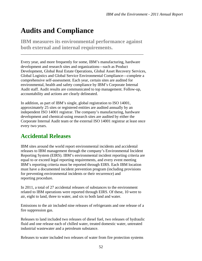## **Audits and Compliance**

**IBM measures its environmental performance against both external and internal requirements.** 

\_\_\_\_\_\_\_\_\_\_\_\_\_\_\_\_\_\_\_\_\_\_\_\_\_\_\_\_\_\_\_\_\_\_\_\_\_\_\_\_\_\_\_\_\_\_\_\_\_\_\_\_\_\_\_\_\_\_\_\_\_\_

Every year, and more frequently for some, IBM's manufacturing, hardware development and research sites and organizations—such as Product Development, Global Real Estate Operations, Global Asset Recovery Services, Global Logistics and Global Service Environmental Compliance—complete a comprehensive self-assessment. Each year, certain sites are audited for environmental, health and safety compliance by IBM's Corporate Internal Audit staff. Audit results are communicated to top management. Follow-up, accountability and actions are clearly delineated.

In addition, as part of IBM's single, global registration to ISO 14001, approximately 25 sites or registered entities are audited annually by an independent ISO 14001 registrar. The company's manufacturing, hardware development and chemical-using research sites are audited by either the Corporate Internal Audit team or the external ISO 14001 registrar at least once every two years.

### **Accidental Releases**

IBM sites around the world report environmental incidents and accidental releases to IBM management through the company's Environmental Incident Reporting System (EIRS). IBM's environmental incident reporting criteria are equal to or exceed legal reporting requirements, and every event meeting IBM's reporting criteria must be reported through EIRS. Each IBM location must have a documented incident prevention program (including provisions for preventing environmental incidents or their recurrence) and reporting procedure.

In 2011, a total of 27 accidental releases of substances to the environment related to IBM operations were reported through EIRS. Of these, 10 were to air, eight to land, three to water, and six to both land and water.

Emissions to the air included nine releases of refrigerants and one release of a fire suppression gas.

Releases to land included two releases of diesel fuel, two releases of hydraulic fluid and one release each of chilled water, treated domestic water, untreated industrial wastewater and a petroleum substance.

Releases to water included two releases of water from fire protection systems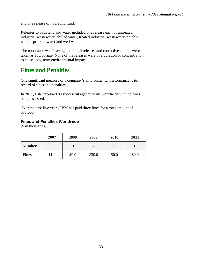and one release of hydraulic fluid.

Releases to both land and water included one release each of untreated industrial wastewater, chilled water, treated industrial wastewater, potable water, sprinkler water and well water.

The root cause was investigated for all releases and corrective actions were taken as appropriate. None of the releases were of a duration or concentration to cause long-term environmental impact.

### **Fines and Penalties**

One significant measure of a company's environmental performance is its record of fines and penalties.

In 2011, IBM received 83 successful agency visits worldwide with no fines being assessed.

Over the past five years, IBM has paid three fines for a total amount of \$31,000.

#### **Fines and Penalties Worldwide**

(\$ in thousands)

|               | 2007  | 2008  | 2009   | 2010  | 2011  |
|---------------|-------|-------|--------|-------|-------|
| <b>Number</b> |       |       | ◠      |       |       |
| <b>Fines</b>  | \$1.0 | \$0.0 | \$30.0 | \$0.0 | \$0.0 |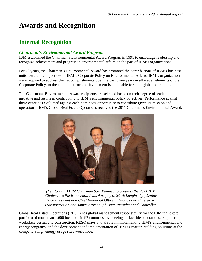## **Awards and Recognition**

### **Internal Recognition**

### *Chairman's Environmental Award Program*

IBM established the Chairman's Environmental Award Program in 1991 to encourage leadership and recognize achievement and progress in environmental affairs on the part of IBM's organizations.

\_\_\_\_\_\_\_\_\_\_\_\_\_\_\_\_\_\_\_\_\_\_\_\_\_\_\_\_\_\_\_\_\_\_\_\_\_\_\_\_\_\_\_\_\_\_\_\_\_\_\_\_\_\_\_\_\_\_\_\_\_\_\_

For 20 years, the Chairman's Environmental Award has promoted the contributions of IBM's business units toward the objectives of IBM's Corporate Policy on Environmental Affairs. IBM's organizations were required to address their accomplishments over the past three years in all eleven elements of the Corporate Policy, to the extent that each policy element is applicable for their global operations.

The Chairman's Environmental Award recipients are selected based on their degree of leadership, initiative and results in contributing to IBM's environmental policy objectives. Performance against these criteria is evaluated against each nominee's opportunity to contribute given its mission and operations. IBM's Global Real Estate Operations received the 2011 Chairman's Environmental Award.



*(Left to right) IBM Chairman Sam Palmisano presents the 2011 IBM Chairman's Environmental Award trophy to Mark Loughridge, Senior Vice President and Chief Financial Officer, Finance and Enterprise Transformation and James Kavanaugh, Vice President and Controller.* 

Global Real Estate Operations (RESO) has global management responsibility for the IBM real estate portfolio of more than 1,600 locations in 97 countries, overseeing all facilities operations, engineering, workplace design and construction. RESO plays a vital role in implementing IBM's environmental and energy programs, and the development and implementation of IBM's Smarter Building Solutions at the company's high energy usage sites worldwide.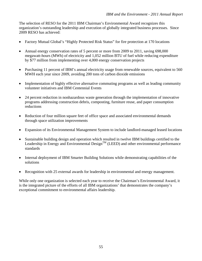The selection of RESO for the 2011 IBM Chairman's Environmental Award recognizes this organization's outstanding leadership and execution of globally integrated business processes. Since 2009 RESO has achieved:

- Factory Mutual Global's "Highly Protected Risk Status" for fire protection at 170 locations
- Annual energy conservation rates of 5 percent or more from 2009 to 2011, saving 698,000 megawatt-hours (MWh) of electricity and 1,052 million BTU of fuel while reducing expenditure by \$77 million from implementing over 4,000 energy conservation projects
- Purchasing 11 percent of IBM's annual electricity usage from renewable sources, equivalent to 560 MWH each year since 2009, avoiding 200 tons of carbon dioxide emissions
- Implementation of highly effective alternative commuting programs as well as leading community volunteer initiatives and IBM Centennial Events
- 24 percent reduction in nonhazardous waste generation through the implementation of innovative programs addressing construction debris, composting, furniture reuse, and paper consumption reductions
- Reduction of four million square feet of office space and associated environmental demands through space utilization improvements
- Expansion of its Environmental Management System to include landlord-managed leased locations
- Sustainable building design and operation which resulted in twelve IBM buildings certified to the Leadership in Energy and Environmental Design<sup>TM</sup> (LEED) and other environmental performance standards
- Internal deployment of IBM Smarter Building Solutions while demonstrating capabilities of the solutions
- Recognition with 25 external awards for leadership in environmental and energy management.

While only one organization is selected each year to receive the Chairman's Environmental Award, it is the integrated picture of the efforts of all IBM organizations' that demonstrates the company's exceptional commitment to environmental affairs leadership.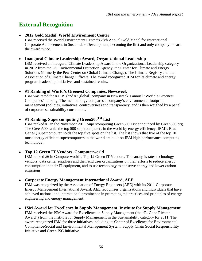## **External Recognition**

### **2012 Gold Medal, World Environment Center**

IBM received the World Environment Center's 28th Annual Gold Medal for International Corporate Achievement in Sustainable Development, becoming the first and only company to earn the award twice.

#### **Inaugural Climate Leadership Award, Organizational Leadership**

IBM received an inaugural Climate Leadership Award in the Organizational Leadership category in 2012 from the US Environmental Protection Agency, the Center for Climate and Energy Solutions (formerly the Pew Center on Global Climate Change), The Climate Registry and the Association of Climate Change Officers. The award recognized IBM for its climate and energy program leadership, initiatives and sustained results.

### **#1 Ranking of World's Greenest Companies, Newsweek**

IBM was rated the #1 US (and #2 global) company in Newsweek's annual "World's Greenest Companies" ranking. The methodology compares a company's environmental footprint, management (policies, initiatives, controversies) and transparency, and is then weighed by a panel of corporate sustainability consultants.

### **#1 Ranking, Supercomputing Green500TM List**

IBM ranked #1 in the November 2011 Supercomputing Green500 List announced by Green500.org. The Green500 ranks the top 500 supercomputers in the world by energy efficiency. IBM's Blue Gene/Q supercomputer holds the top five spots on the list. The list shows that five of the top 10 most energy efficient supercomputers in the world are built on IBM high-performance computing technology.

### **Top 12 Green IT Vendors, Computerworld**

IBM ranked #6 in Computerworld's Top 12 Green IT Vendors. This analysis rates technology vendors, data center suppliers and their end user organizations on their efforts to reduce energy consumption in their IT equipment, and to use technology to conserve energy and lower carbon emissions.

### **Corporate Energy Management International Award, AEE**

IBM was recognized by the Association of Energy Engineers (AEE) with its 2011 Corporate Energy Management International Award. AEE recognizes organizations and individuals that have achieved national and international prominence in promoting the practices and principles of energy engineering and energy management.

#### **ISM Award for Excellence in Supply Management, Institute for Supply Management**

IBM received the ISM Award for Excellence in Supply Management (the "R. Gene Richter Award") from the Institute for Supply Management in the Sustainability category for 2011. The award recognized IBM for three initiatives including its Center of Excellence for Environmental Compliance/Social and Environmental Management System, Supply Chain Social Responsibility Initiative and Green ISC Initiative.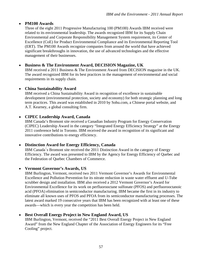### **PM100 Awards**

Three of the eight 2011 Progressive Manufacturing 100 (PM100) Awards IBM received were related to its environmental leadership. The awards recognized IBM for its Supply Chain Environmental and Corporate Responsibility Management System requirement, its Center of Excellence (CoE) for Product Environmental Compliance and its Environmental Reporting Tool (ERT). The PM100 Awards recognize companies from around the world that have achieved significant breakthroughs in innovation, the use of advanced technologies and the effective management of their businesses.

### **Business & The Environment Award, DECISION Magazine, UK**

IBM received a 2011 Business & The Environment Award from DECISION magazine in the UK. The award recognized IBM for its best practices in the management of environmental and social requirements in its supply chain.

### **China Sustainability Award**

IBM received a China Sustainability Award in recognition of excellence in sustainable development (environmental protection, society and economy) for both strategic planning and long term practices. This award was established in 2010 by Sohu.com, a Chinese portal website, and A.T. Kearney, a global consulting firm.

### **CIPEC Leadership Award, Canada**

IBM Canada's Bromont site received a Canadian Industry Program for Energy Conservation (CIPEC) Leadership Award in the category "Integrated Energy Efficiency Strategy" at the Energy 2011 conference held in Toronto. IBM received the award in recognition of its significant and innovative contributions to energy efficiency.

### **Distinction Award for Energy Efficiency, Canada**

IBM Canada᾿s Bromont site received the 2011 Distinction Award in the category of Energy Efficiency. The award was presented to IBM by the Agency for Energy Efficiency of Quebec and the Federation of Quebec Chambers of Commerce.

### **Vermont Governor's Awards, US**

IBM Burlington, Vermont, received two 2011 Vermont Governor's Awards for Environmental Excellence and Pollution Prevention for its nitrate reduction in waste water effluent and U-Tube scrubber design and installation. IBM also received a 2012 Vermont Governor's Award for Environmental Excellence for its work on perfluorooctane sulfonate (PFOS) and perfluorooctanoic acid (PFOA) elimination in semiconductor manufacturing. IBM became the first in its industry to eliminate all known uses of PFOS and PFOA from its semiconductor manufacturing processes. The latest award marked 19 consecutive years that IBM has been recognized with at least one of these awards—which is every year the competition has been held.

### **Best Overall Energy Project in New England Award, US**

IBM Burlington, Vermont, received the "2011 Best Overall Energy Project in New England Award" from the New England Chapter of the Association of Energy Engineers for its "Free Cooling" project.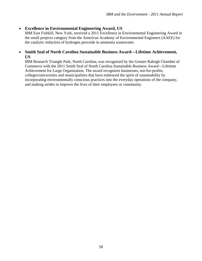### **Excellence in Environmental Engineering Award, US**

IBM East Fishkill, New York, received a 2011 Excellence in Environmental Engineering Award in the small projects category from the American Academy of Environmental Engineers (AAEE) for the catalytic reduction of hydrogen peroxide in ammonia wastewater.

### **Smith Seal of North Carolina Sustainable Business Award—Lifetime Achievement, US**

IBM Research Triangle Park, North Carolina, was recognized by the Greater Raleigh Chamber of Commerce with the 2011 Smith Seal of North Carolina Sustainable Business Award—Lifetime Achievement for Large Organization. The award recognizes businesses, not-for-profits, colleges/universities and municipalities that have embraced the spirit of sustainability by incorporating environmentally conscious practices into the everyday operations of the company, and making strides to improve the lives of their employees or community.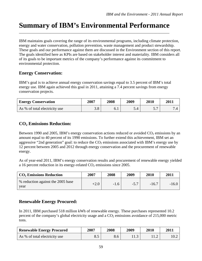### **Summary of IBM's Environmental Performance**  \_\_\_\_\_\_\_\_\_\_\_\_\_\_\_\_\_\_\_\_\_\_\_\_\_\_\_\_\_\_\_\_\_\_\_\_\_\_\_\_\_\_\_\_\_\_\_\_\_\_\_\_\_\_\_\_\_\_\_\_\_\_\_\_\_\_\_\_\_\_\_\_\_\_\_\_

IBM maintains goals covering the range of its environmental programs, including climate protection, energy and water conservation, pollution prevention, waste management and product stewardship. These goals and our performance against them are discussed in the Environment section of this report. The goals identified here as KPIs are based on stakeholder interest and materiality. IBM considers all of its goals to be important metrics of the company's performance against its commitment to environmental protection.

### **Energy Conservation:**

IBM's goal is to achieve annual energy conservation savings equal to 3.5 percent of IBM's total energy use. IBM again achieved this goal in 2011, attaining a 7.4 percent savings from energy conservation projects.

| <b>Energy Conservation</b>    | 2007 | 2008 | 2009 | 2010 | <b>2011</b> |
|-------------------------------|------|------|------|------|-------------|
| As % of total electricity use | 3.8  | 0. I |      | - -  |             |

### **CO2 Emissions Reduction:**

Between 1990 and 2005, IBM's energy conservation actions reduced or avoided  $CO<sub>2</sub>$  emissions by an amount equal to 40 percent of its 1990 emissions. To further extend this achievement, IBM set an aggressive "2nd generation" goal: to reduce the  $CO<sub>2</sub>$  emissions associated with IBM's energy use by 12 percent between 2005 and 2012 through energy conservation and the procurement of renewable energy.

As of year-end 2011, IBM's energy conservation results and procurement of renewable energy yielded a 16 percent reduction in its energy-related  $CO<sub>2</sub>$  emissions since 2005.

| $CO2$ Emissions Reduction                 | 2007   | 2008   | 2009   | 2010    | 2011    |
|-------------------------------------------|--------|--------|--------|---------|---------|
| % reduction against the 2005 base<br>vear | $+2.0$ | $-1.6$ | $-5.7$ | $-16.7$ | $-16.0$ |

### **Renewable Energy Procured:**

In 2011, IBM purchased 518 million kWh of renewable energy. These purchases represented 10.2 percent of the company's global electricity usage and a  $CO<sub>2</sub>$  emissions avoidance of 215,000 metric tons.

| <b>Renewable Energy Procured</b> | 2007 | 2008 | 2009 | <b>2010</b> | <b>2011</b> |  |
|----------------------------------|------|------|------|-------------|-------------|--|
| As % of total electricity use    | 0.J  | 8.6  | .    |             | 10.2        |  |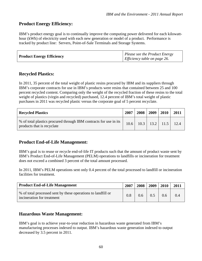### **Product Energy Efficiency:**

IBM's product energy goal is to continually improve the computing power delivered for each kilowatthour (kWh) of electricity used with each new generation or model of a product. Performance is tracked by product line: Servers, Point-of-Sale Terminals and Storage Systems.

| <b>Product Energy Efficiency</b> | $\vert$ Please see the Product Energy<br>Efficiency table on page $26$ . |
|----------------------------------|--------------------------------------------------------------------------|
|----------------------------------|--------------------------------------------------------------------------|

### **Recycled Plastics:**

In 2011, 35 percent of the total weight of plastic resins procured by IBM and its suppliers through IBM's corporate contracts for use in IBM's products were resins that contained between 25 and 100 percent recycled content. Comparing only the weight of the recycled fraction of these resins to the total weight of plastics (virgin and recycled) purchased, 12.4 percent of IBM's total weight of plastic purchases in 2011 was recycled plastic versus the corporate goal of 5 percent recyclate.

| <b>Recycled Plastics</b>                                                                        | 2007 | 2008 | 2009 | 2010                        | 2011 |
|-------------------------------------------------------------------------------------------------|------|------|------|-----------------------------|------|
| % of total plastics procured through IBM contracts for use in its<br>products that is recyclate | 10.6 |      |      | $10.3$   13.2   11.5   12.4 |      |

### **Product End-of-Life Management:**

IBM's goal is to reuse or recycle end-of-life IT products such that the amount of product waste sent by IBM's Product End-of-Life Management (PELM) operations to landfills or incineration for treatment does not exceed a combined 3 percent of the total amount processed.

In 2011, IBM's PELM operations sent only 0.4 percent of the total processed to landfill or incineration facilities for treatment.

| <b>Product End-of-Life Management</b>                                                      | 2007 | 2008 | 2009 | 2010 | 2011 |
|--------------------------------------------------------------------------------------------|------|------|------|------|------|
| % of total processed sent by these operations to landfill or<br>incineration for treatment | 0.8  | 0.6  | 0.5  | 0.6  | 0.4  |

### **Hazardous Waste Management:**

IBM's goal is to achieve year-to-year reduction in hazardous waste generated from IBM's manufacturing processes indexed to output. IBM's hazardous waste generation indexed to output decreased by 3.5 percent in 2011.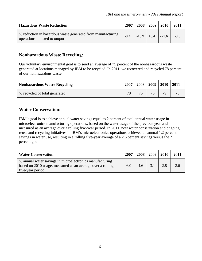| <b>Hazardous Waste Reduction</b>                                                            | 2007   | 2008 | 2009 | 2010               | 2011   |
|---------------------------------------------------------------------------------------------|--------|------|------|--------------------|--------|
| % reduction in hazardous waste generated from manufacturing<br>operations indexed to output | $-8.4$ |      |      | $-10.9$ +8.4 -21.6 | $-3.5$ |

### **Nonhazardous Waste Recycling:**

Our voluntary environmental goal is to send an average of 75 percent of the nonhazardous waste generated at locations managed by IBM to be recycled. In 2011, we recovered and recycled 78 percent of our nonhazardous waste.

| <b>Nonhazardous Waste Recycling</b> | 2007 | 2008 | 2009 | 2010 2011 |    |
|-------------------------------------|------|------|------|-----------|----|
| % recycled of total generated       | 78   | 76   |      | 79        | 78 |

### **Water Conservation:**

IBM's goal is to achieve annual water savings equal to 2 percent of total annual water usage in microelectronics manufacturing operations, based on the water usage of the previous year and measured as an average over a rolling five-year period. In 2011, new water conservation and ongoing reuse and recycling initiatives in IBM's microelectronics operations achieved an annual 1.2 percent savings in water use, resulting in a rolling five-year average of a 2.6 percent savings versus the 2 percent goal.

| <b>Water Conservation</b>                                  | 2007 | 2008 | 2009 | 2010 | 2011 |
|------------------------------------------------------------|------|------|------|------|------|
| % annual water savings in microelectronics manufacturing   |      |      |      |      |      |
| based on 2010 usage, measured as an average over a rolling | 6.0  | 4.6  | 3.1  | 2.8  | 2.6  |
| five-year period                                           |      |      |      |      |      |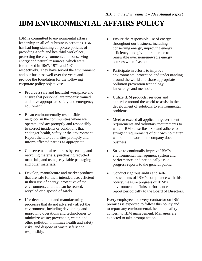### **IBM ENVIRONMENTAL AFFAIRS POLICY** \_\_\_\_\_\_\_\_\_\_\_\_\_\_\_\_\_\_\_\_\_\_\_\_\_\_\_\_\_\_\_\_\_\_\_\_\_\_\_\_\_\_\_\_\_\_\_\_\_\_\_\_\_\_\_\_\_\_\_\_\_\_\_\_\_\_\_\_\_\_\_\_\_\_\_\_

IBM is committed to environmental affairs leadership in all of its business activities. IBM has had long-standing corporate policies of providing a safe and healthful workplace, protecting the environment, and conserving energy and natural resources, which were formalized in 1967, 1971 and 1974, respectively. They have served the environment and our business well over the years and provide the foundation for the following corporate policy objectives:

- Provide a safe and healthful workplace and ensure that personnel are properly trained and have appropriate safety and emergency equipment.
- Be an environmentally responsible neighbor in the communities where we operate, and act promptly and responsibly to correct incidents or conditions that endanger health, safety or the environment. Report them to authorities promptly and inform affected parties as appropriate.
- Conserve natural resources by reusing and recycling materials, purchasing recycled materials, and using recyclable packaging and other materials.
- Develop, manufacture and market products that are safe for their intended use, efficient in their use of energy, protective of the environment, and that can be reused, recycled or disposed of safely.
- Use development and manufacturing processes that do not adversely affect the environment, including developing and improving operations and technologies to minimize waste; prevent air, water, and other pollution; minimize health and safety risks; and dispose of waste safely and responsibly.
- Ensure the responsible use of energy throughout our business, including conserving energy, improving energy efficiency, and giving preference to renewable over nonrenewable energy sources when feasible.
- Participate in efforts to improve environmental protection and understanding around the world and share appropriate pollution prevention technology, knowledge and methods.
- Utilize IBM products, services and expertise around the world to assist in the development of solutions to environmental problems.
- Meet or exceed all applicable government requirements and voluntary requirements to which IBM subscribes. Set and adhere to stringent requirements of our own no matter where in the world the company does business.
- Strive to continually improve IBM's environmental management system and performance, and periodically issue progress reports to the general public.
- Conduct rigorous audits and selfassessments of IBM's compliance with this policy, measure progress of IBM's environmental affairs performance, and report periodically to the Board of Directors.

Every employee and every contractor on IBM premises is expected to follow this policy and to report any environmental, health or safety concern to IBM management. Managers are expected to take prompt action.